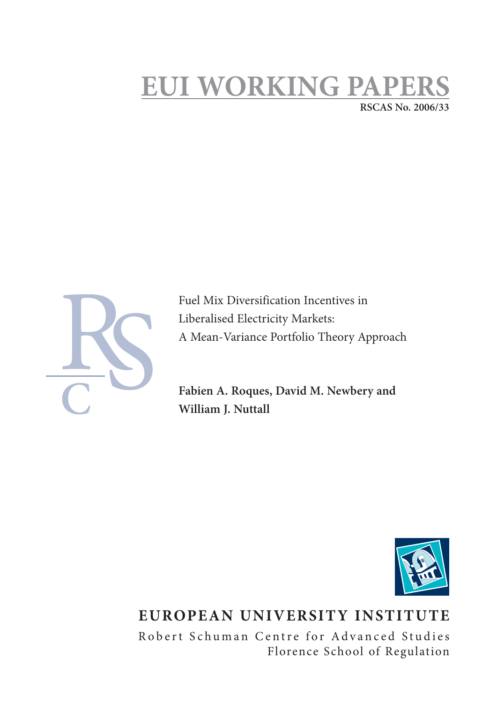## **EUI WORKING PAPI RSCAS No. 2006/33**



Fuel Mix Diversification Incentives in Liberalised Electricity Markets: A Mean-Variance Portfolio Theory Approach

**Fabien A. Roques, David M. Newbery and William J. Nuttall**



# **EUROPEAN UNIVERSITY INSTITUTE**

Robert Schuman Centre for Advanced Studies Florence School of Regulation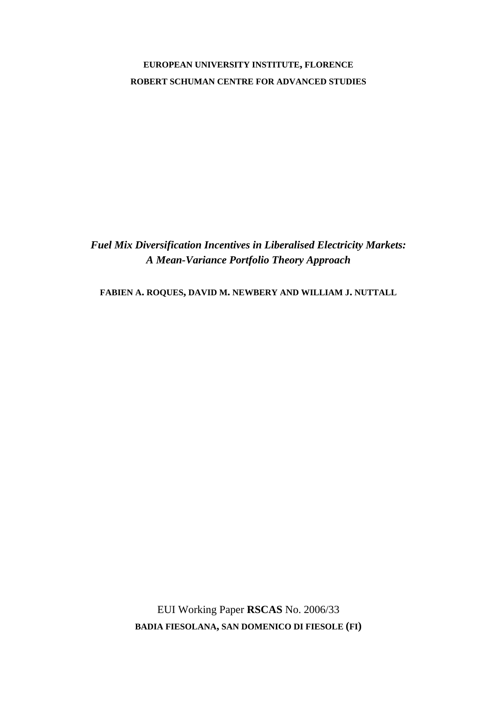### **EUROPEAN UNIVERSITY INSTITUTE, FLORENCE ROBERT SCHUMAN CENTRE FOR ADVANCED STUDIES**

*Fuel Mix Diversification Incentives in Liberalised Electricity Markets: A Mean-Variance Portfolio Theory Approach* 

**FABIEN A. ROQUES, DAVID M. NEWBERY AND WILLIAM J. NUTTALL**

EUI Working Paper **RSCAS** No. 2006/33 **BADIA FIESOLANA, SAN DOMENICO DI FIESOLE (FI)**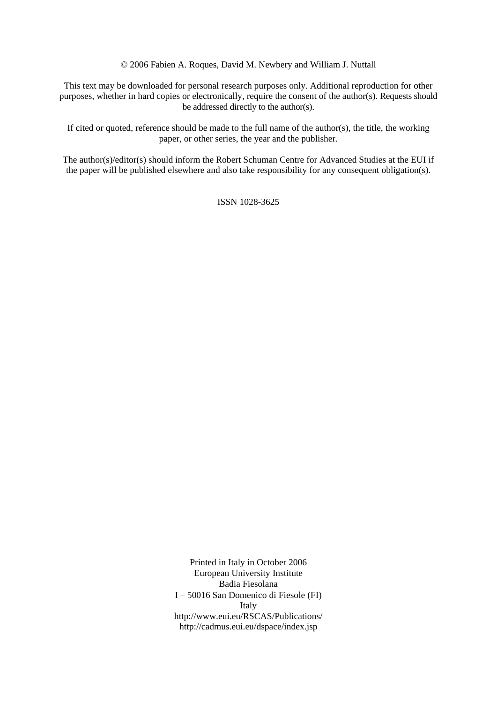© 2006 Fabien A. Roques, David M. Newbery and William J. Nuttall

This text may be downloaded for personal research purposes only. Additional reproduction for other purposes, whether in hard copies or electronically, require the consent of the author(s). Requests should be addressed directly to the author(s).

If cited or quoted, reference should be made to the full name of the author(s), the title, the working paper, or other series, the year and the publisher.

The author(s)/editor(s) should inform the Robert Schuman Centre for Advanced Studies at the EUI if the paper will be published elsewhere and also take responsibility for any consequent obligation(s).

ISSN 1028-3625

Printed in Italy in October 2006 European University Institute Badia Fiesolana I – 50016 San Domenico di Fiesole (FI) Italy [http://www.eui.eu/RSCAS/Publications/](http://www.eui.eu/RSCAS/Publications)  <http://cadmus.eui.eu/dspace/index.jsp>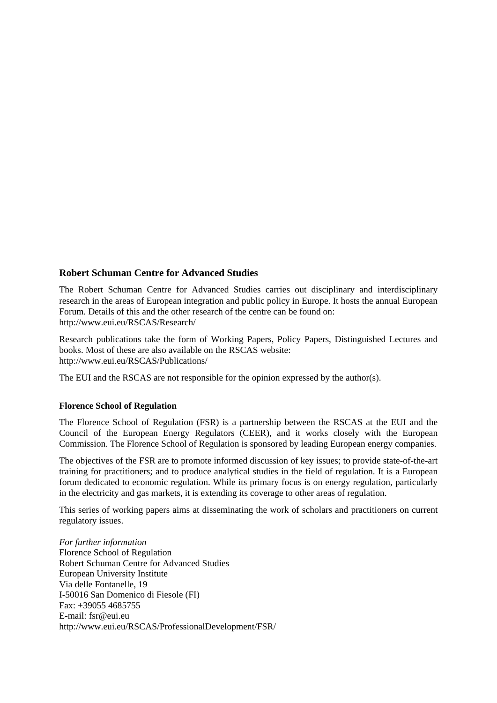#### **Robert Schuman Centre for Advanced Studies**

The Robert Schuman Centre for Advanced Studies carries out disciplinary and interdisciplinary research in the areas of European integration and public policy in Europe. It hosts the annual European Forum. Details of this and the other research of the centre can be found on: [http://www.eui.eu/RSCAS/Research/](http://www.eui.eu/RSCAS/Research) 

Research publications take the form of Working Papers, Policy Papers, Distinguished Lectures and books. Most of these are also available on the RSCAS website: [http://www.eui.eu/RSCAS/Publications/](http://www.eui.eu/RSCAS/Publications) 

The EUI and the RSCAS are not responsible for the opinion expressed by the author(s).

#### **Florence School of Regulation**

The Florence School of Regulation (FSR) is a partnership between the RSCAS at the EUI and the Council of the European Energy Regulators (CEER), and it works closely with the European Commission. The Florence School of Regulation is sponsored by leading European energy companies.

The objectives of the FSR are to promote informed discussion of key issues; to provide state-of-the-art training for practitioners; and to produce analytical studies in the field of regulation. It is a European forum dedicated to economic regulation. While its primary focus is on energy regulation, particularly in the electricity and gas markets, it is extending its coverage to other areas of regulation.

This series of working papers aims at disseminating the work of scholars and practitioners on current regulatory issues.

*For further information*  Florence School of Regulation Robert Schuman Centre for Advanced Studies European University Institute Via delle Fontanelle, 19 I-50016 San Domenico di Fiesole (FI) Fax: +39055 4685755 E-mail: [fsr@eui.eu](mailto:fsr@eui.eu)  [http://www.eui.eu/RSCAS/ProfessionalDevelopment/FSR/](http://www.eui.eu/RSCAS/ProfessionalDevelopment/FSR)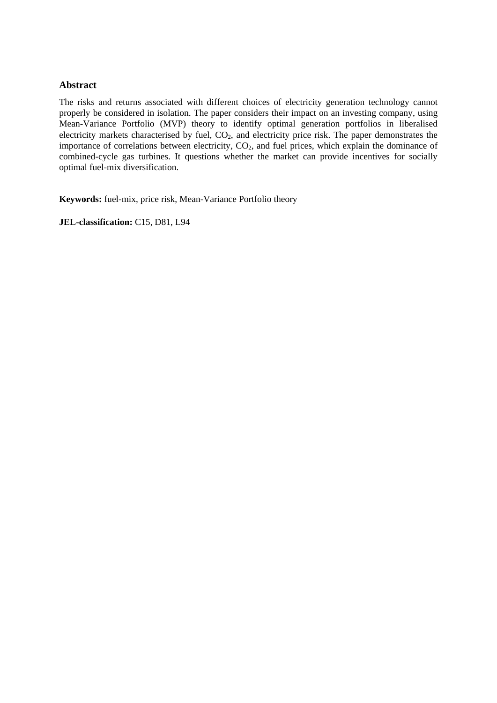#### **Abstract**

The risks and returns associated with different choices of electricity generation technology cannot properly be considered in isolation. The paper considers their impact on an investing company, using Mean-Variance Portfolio (MVP) theory to identify optimal generation portfolios in liberalised electricity markets characterised by fuel,  $CO<sub>2</sub>$ , and electricity price risk. The paper demonstrates the importance of correlations between electricity,  $CO<sub>2</sub>$ , and fuel prices, which explain the dominance of combined-cycle gas turbines. It questions whether the market can provide incentives for socially optimal fuel-mix diversification.

**Keywords:** fuel-mix, price risk, Mean-Variance Portfolio theory

**JEL-classification:** C15, D81, L94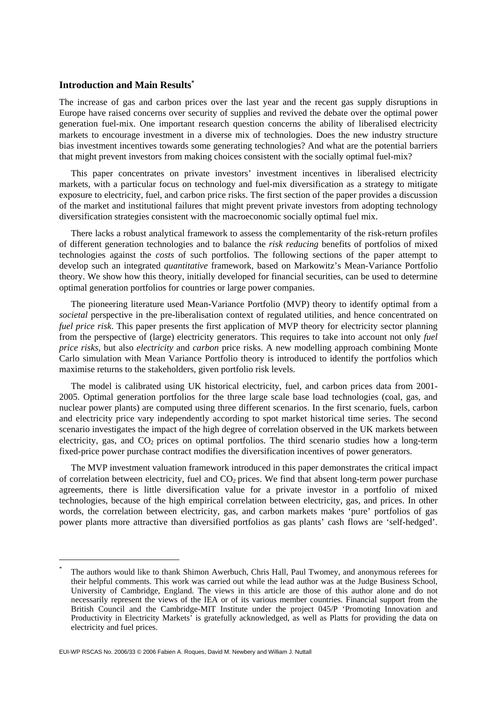#### **Introduction and Main Results\***

The increase of gas and carbon prices over the last year and the recent gas supply disruptions in Europe have raised concerns over security of supplies and revived the debate over the optimal power generation fuel-mix. One important research question concerns the ability of liberalised electricity markets to encourage investment in a diverse mix of technologies. Does the new industry structure bias investment incentives towards some generating technologies? And what are the potential barriers that might prevent investors from making choices consistent with the socially optimal fuel-mix?

This paper concentrates on private investors' investment incentives in liberalised electricity markets, with a particular focus on technology and fuel-mix diversification as a strategy to mitigate exposure to electricity, fuel, and carbon price risks. The first section of the paper provides a discussion of the market and institutional failures that might prevent private investors from adopting technology diversification strategies consistent with the macroeconomic socially optimal fuel mix.

There lacks a robust analytical framework to assess the complementarity of the risk-return profiles of different generation technologies and to balance the *risk reducing* benefits of portfolios of mixed technologies against the *costs* of such portfolios. The following sections of the paper attempt to develop such an integrated *quantitative* framework, based on Markowitz's Mean-Variance Portfolio theory. We show how this theory, initially developed for financial securities, can be used to determine optimal generation portfolios for countries or large power companies.

The pioneering literature used Mean-Variance Portfolio (MVP) theory to identify optimal from a *societal* perspective in the pre-liberalisation context of regulated utilities, and hence concentrated on *fuel price risk*. This paper presents the first application of MVP theory for electricity sector planning from the perspective of (large) electricity generators. This requires to take into account not only *fuel price risks,* but also *electricity* and *carbon* price risks. A new modelling approach combining Monte Carlo simulation with Mean Variance Portfolio theory is introduced to identify the portfolios which maximise returns to the stakeholders, given portfolio risk levels.

The model is calibrated using UK historical electricity, fuel, and carbon prices data from 2001- 2005. Optimal generation portfolios for the three large scale base load technologies (coal, gas, and nuclear power plants) are computed using three different scenarios. In the first scenario, fuels, carbon and electricity price vary independently according to spot market historical time series. The second scenario investigates the impact of the high degree of correlation observed in the UK markets between electricity, gas, and  $CO<sub>2</sub>$  prices on optimal portfolios. The third scenario studies how a long-term fixed-price power purchase contract modifies the diversification incentives of power generators.

The MVP investment valuation framework introduced in this paper demonstrates the critical impact of correlation between electricity, fuel and  $CO<sub>2</sub>$  prices. We find that absent long-term power purchase agreements, there is little diversification value for a private investor in a portfolio of mixed technologies, because of the high empirical correlation between electricity, gas, and prices. In other words, the correlation between electricity, gas, and carbon markets makes 'pure' portfolios of gas power plants more attractive than diversified portfolios as gas plants' cash flows are 'self-hedged'.

<sup>\*</sup> The authors would like to thank Shimon Awerbuch, Chris Hall, Paul Twomey, and anonymous referees for their helpful comments. This work was carried out while the lead author was at the Judge Business School, University of Cambridge, England. The views in this article are those of this author alone and do not necessarily represent the views of the IEA or of its various member countries. Financial support from the British Council and the Cambridge-MIT Institute under the project 045/P 'Promoting Innovation and Productivity in Electricity Markets' is gratefully acknowledged, as well as Platts for providing the data on electricity and fuel prices.

EUI-WP RSCAS No. 2006/33 © 2006 Fabien A. Roques, David M. Newbery and William J. Nuttall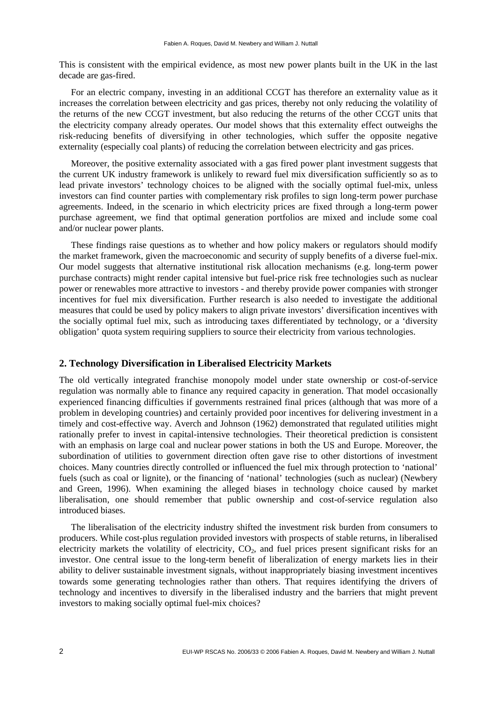This is consistent with the empirical evidence, as most new power plants built in the UK in the last decade are gas-fired.

For an electric company, investing in an additional CCGT has therefore an externality value as it increases the correlation between electricity and gas prices, thereby not only reducing the volatility of the returns of the new CCGT investment, but also reducing the returns of the other CCGT units that the electricity company already operates. Our model shows that this externality effect outweighs the risk-reducing benefits of diversifying in other technologies, which suffer the opposite negative externality (especially coal plants) of reducing the correlation between electricity and gas prices.

Moreover, the positive externality associated with a gas fired power plant investment suggests that the current UK industry framework is unlikely to reward fuel mix diversification sufficiently so as to lead private investors' technology choices to be aligned with the socially optimal fuel-mix, unless investors can find counter parties with complementary risk profiles to sign long-term power purchase agreements. Indeed, in the scenario in which electricity prices are fixed through a long-term power purchase agreement, we find that optimal generation portfolios are mixed and include some coal and/or nuclear power plants.

These findings raise questions as to whether and how policy makers or regulators should modify the market framework, given the macroeconomic and security of supply benefits of a diverse fuel-mix. Our model suggests that alternative institutional risk allocation mechanisms (e.g. long-term power purchase contracts) might render capital intensive but fuel-price risk free technologies such as nuclear power or renewables more attractive to investors - and thereby provide power companies with stronger incentives for fuel mix diversification. Further research is also needed to investigate the additional measures that could be used by policy makers to align private investors' diversification incentives with the socially optimal fuel mix, such as introducing taxes differentiated by technology, or a 'diversity obligation' quota system requiring suppliers to source their electricity from various technologies.

#### **2. Technology Diversification in Liberalised Electricity Markets**

The old vertically integrated franchise monopoly model under state ownership or cost-of-service regulation was normally able to finance any required capacity in generation. That model occasionally experienced financing difficulties if governments restrained final prices (although that was more of a problem in developing countries) and certainly provided poor incentives for delivering investment in a timely and cost-effective way. Averch and Johnson (1962) demonstrated that regulated utilities might rationally prefer to invest in capital-intensive technologies. Their theoretical prediction is consistent with an emphasis on large coal and nuclear power stations in both the US and Europe. Moreover, the subordination of utilities to government direction often gave rise to other distortions of investment choices. Many countries directly controlled or influenced the fuel mix through protection to 'national' fuels (such as coal or lignite), or the financing of 'national' technologies (such as nuclear) (Newbery and Green, 1996). When examining the alleged biases in technology choice caused by market liberalisation, one should remember that public ownership and cost-of-service regulation also introduced biases.

The liberalisation of the electricity industry shifted the investment risk burden from consumers to producers. While cost-plus regulation provided investors with prospects of stable returns, in liberalised electricity markets the volatility of electricity,  $CO<sub>2</sub>$ , and fuel prices present significant risks for an investor. One central issue to the long-term benefit of liberalization of energy markets lies in their ability to deliver sustainable investment signals, without inappropriately biasing investment incentives towards some generating technologies rather than others. That requires identifying the drivers of technology and incentives to diversify in the liberalised industry and the barriers that might prevent investors to making socially optimal fuel-mix choices?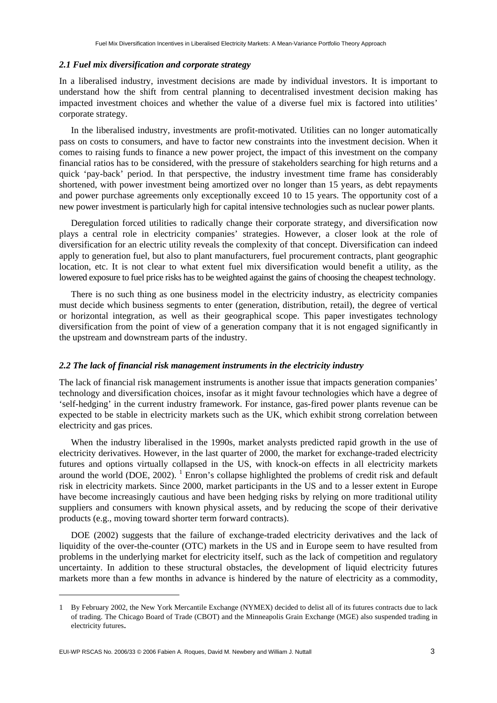#### *2.1 Fuel mix diversification and corporate strategy*

In a liberalised industry, investment decisions are made by individual investors. It is important to understand how the shift from central planning to decentralised investment decision making has impacted investment choices and whether the value of a diverse fuel mix is factored into utilities' corporate strategy.

In the liberalised industry, investments are profit-motivated. Utilities can no longer automatically pass on costs to consumers, and have to factor new constraints into the investment decision. When it comes to raising funds to finance a new power project, the impact of this investment on the company financial ratios has to be considered, with the pressure of stakeholders searching for high returns and a quick 'pay-back' period. In that perspective, the industry investment time frame has considerably shortened, with power investment being amortized over no longer than 15 years, as debt repayments and power purchase agreements only exceptionally exceed 10 to 15 years. The opportunity cost of a new power investment is particularly high for capital intensive technologies such as nuclear power plants.

Deregulation forced utilities to radically change their corporate strategy, and diversification now plays a central role in electricity companies' strategies. However, a closer look at the role of diversification for an electric utility reveals the complexity of that concept. Diversification can indeed apply to generation fuel, but also to plant manufacturers, fuel procurement contracts, plant geographic location, etc. It is not clear to what extent fuel mix diversification would benefit a utility, as the lowered exposure to fuel price risks has to be weighted against the gains of choosing the cheapest technology.

There is no such thing as one business model in the electricity industry, as electricity companies must decide which business segments to enter (generation, distribution, retail), the degree of vertical or horizontal integration, as well as their geographical scope. This paper investigates technology diversification from the point of view of a generation company that it is not engaged significantly in the upstream and downstream parts of the industry.

#### *2.2 The lack of financial risk management instruments in the electricity industry*

The lack of financial risk management instruments is another issue that impacts generation companies' technology and diversification choices, insofar as it might favour technologies which have a degree of 'self-hedging' in the current industry framework. For instance, gas-fired power plants revenue can be expected to be stable in electricity markets such as the UK, which exhibit strong correlation between electricity and gas prices.

When the industry liberalised in the 1990s, market analysts predicted rapid growth in the use of electricity derivatives. However, in the last quarter of 2000, the market for exchange-traded electricity futures and options virtually collapsed in the US, with knock-on effects in all electricity markets around the world (DOE, 2002).  $^1$  Enron's collapse highlighted the problems of credit risk and default risk in electricity markets. Since 2000, market participants in the US and to a lesser extent in Europe have become increasingly cautious and have been hedging risks by relying on more traditional utility suppliers and consumers with known physical assets, and by reducing the scope of their derivative products (e.g., moving toward shorter term forward contracts).

DOE (2002) suggests that the failure of exchange-traded electricity derivatives and the lack of liquidity of the over-the-counter (OTC) markets in the US and in Europe seem to have resulted from problems in the underlying market for electricity itself, such as the lack of competition and regulatory uncertainty. In addition to these structural obstacles, the development of liquid electricity futures markets more than a few months in advance is hindered by the nature of electricity as a commodity,

<sup>1</sup> By February 2002, the New York Mercantile Exchange (NYMEX) decided to delist all of its futures contracts due to lack of trading. The Chicago Board of Trade (CBOT) and the Minneapolis Grain Exchange (MGE) also suspended trading in electricity futures.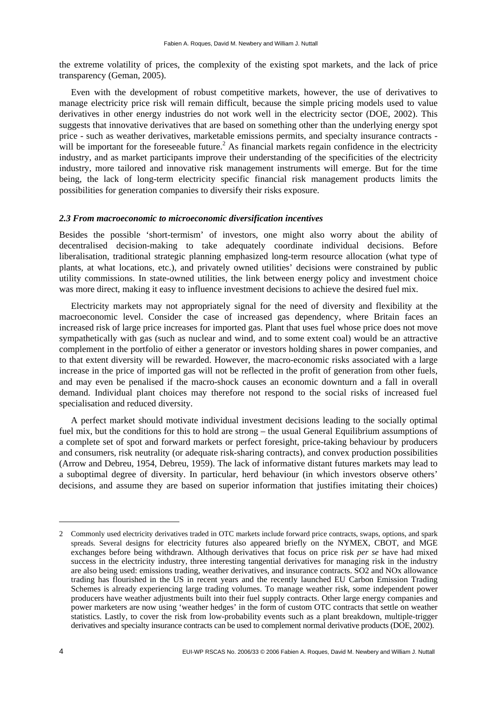the extreme volatility of prices, the complexity of the existing spot markets, and the lack of price transparency (Geman, 2005).

Even with the development of robust competitive markets, however, the use of derivatives to manage electricity price risk will remain difficult, because the simple pricing models used to value derivatives in other energy industries do not work well in the electricity sector (DOE, 2002). This suggests that innovative derivatives that are based on something other than the underlying energy spot price - such as weather derivatives, marketable emissions permits, and specialty insurance contracts will be important for the foreseeable future.<sup>2</sup> As financial markets regain confidence in the electricity industry, and as market participants improve their understanding of the specificities of the electricity industry, more tailored and innovative risk management instruments will emerge. But for the time being, the lack of long-term electricity specific financial risk management products limits the possibilities for generation companies to diversify their risks exposure.

#### *2.3 From macroeconomic to microeconomic diversification incentives*

Besides the possible 'short-termism' of investors, one might also worry about the ability of decentralised decision-making to take adequately coordinate individual decisions. Before liberalisation, traditional strategic planning emphasized long-term resource allocation (what type of plants, at what locations, etc.), and privately owned utilities' decisions were constrained by public utility commissions. In state-owned utilities, the link between energy policy and investment choice was more direct, making it easy to influence investment decisions to achieve the desired fuel mix.

Electricity markets may not appropriately signal for the need of diversity and flexibility at the macroeconomic level. Consider the case of increased gas dependency, where Britain faces an increased risk of large price increases for imported gas. Plant that uses fuel whose price does not move sympathetically with gas (such as nuclear and wind, and to some extent coal) would be an attractive complement in the portfolio of either a generator or investors holding shares in power companies, and to that extent diversity will be rewarded. However, the macro-economic risks associated with a large increase in the price of imported gas will not be reflected in the profit of generation from other fuels, and may even be penalised if the macro-shock causes an economic downturn and a fall in overall demand. Individual plant choices may therefore not respond to the social risks of increased fuel specialisation and reduced diversity.

A perfect market should motivate individual investment decisions leading to the socially optimal fuel mix, but the conditions for this to hold are strong – the usual General Equilibrium assumptions of a complete set of spot and forward markets or perfect foresight, price-taking behaviour by producers and consumers, risk neutrality (or adequate risk-sharing contracts), and convex production possibilities (Arrow and Debreu, 1954, Debreu, 1959). The lack of informative distant futures markets may lead to a suboptimal degree of diversity. In particular, herd behaviour (in which investors observe others' decisions, and assume they are based on superior information that justifies imitating their choices)

-

<sup>2</sup> Commonly used electricity derivatives traded in OTC markets include forward price contracts, swaps, options, and spark spreads. Several designs for electricity futures also appeared briefly on the NYMEX, CBOT, and MGE exchanges before being withdrawn. Although derivatives that focus on price risk *per se* have had mixed success in the electricity industry, three interesting tangential derivatives for managing risk in the industry are also being used: emissions trading, weather derivatives, and insurance contracts. SO2 and NOx allowance trading has flourished in the US in recent years and the recently launched EU Carbon Emission Trading Schemes is already experiencing large trading volumes. To manage weather risk, some independent power producers have weather adjustments built into their fuel supply contracts. Other large energy companies and power marketers are now using 'weather hedges' in the form of custom OTC contracts that settle on weather statistics. Lastly, to cover the risk from low-probability events such as a plant breakdown, multiple-trigger derivatives and specialty insurance contracts can be used to complement normal derivative products (DOE, 2002).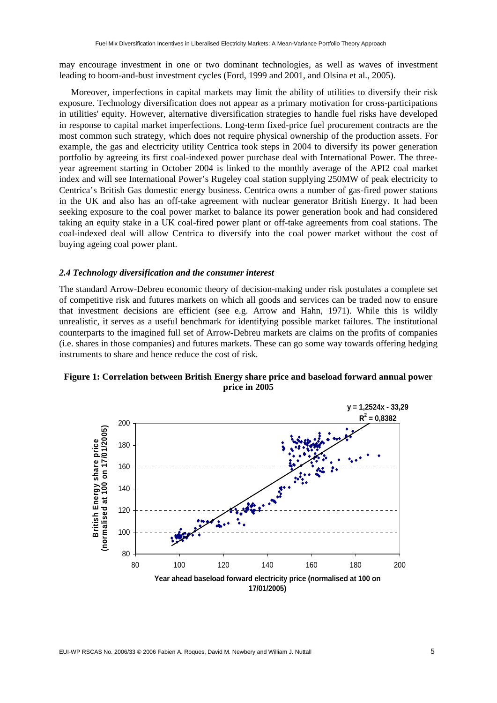may encourage investment in one or two dominant technologies, as well as waves of investment leading to boom-and-bust investment cycles (Ford, 1999 and 2001, and Olsina et al., 2005).

Moreover, imperfections in capital markets may limit the ability of utilities to diversify their risk exposure. Technology diversification does not appear as a primary motivation for cross-participations in utilities' equity. However, alternative diversification strategies to handle fuel risks have developed in response to capital market imperfections. Long-term fixed-price fuel procurement contracts are the most common such strategy, which does not require physical ownership of the production assets. For example, the gas and electricity utility Centrica took steps in 2004 to diversify its power generation portfolio by agreeing its first coal-indexed power purchase deal with International Power. The threeyear agreement starting in October 2004 is linked to the monthly average of the API2 coal market index and will see International Power's Rugeley coal station supplying 250MW of peak electricity to Centrica's British Gas domestic energy business. Centrica owns a number of gas-fired power stations in the UK and also has an off-take agreement with nuclear generator British Energy. It had been seeking exposure to the coal power market to balance its power generation book and had considered taking an equity stake in a UK coal-fired power plant or off-take agreements from coal stations. The coal-indexed deal will allow Centrica to diversify into the coal power market without the cost of buying ageing coal power plant.

#### *2.4 Technology diversification and the consumer interest*

The standard Arrow-Debreu economic theory of decision-making under risk postulates a complete set of competitive risk and futures markets on which all goods and services can be traded now to ensure that investment decisions are efficient (see e.g. Arrow and Hahn, 1971). While this is wildly unrealistic, it serves as a useful benchmark for identifying possible market failures. The institutional counterparts to the imagined full set of Arrow-Debreu markets are claims on the profits of companies (i.e. shares in those companies) and futures markets. These can go some way towards offering hedging instruments to share and hence reduce the cost of risk.



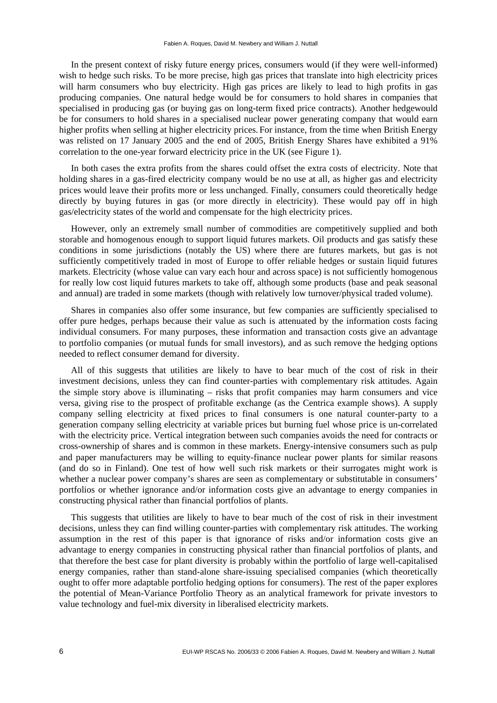In the present context of risky future energy prices, consumers would (if they were well-informed) wish to hedge such risks. To be more precise, high gas prices that translate into high electricity prices will harm consumers who buy electricity. High gas prices are likely to lead to high profits in gas producing companies. One natural hedge would be for consumers to hold shares in companies that specialised in producing gas (or buying gas on long-term fixed price contracts). Another hedgewould be for consumers to hold shares in a specialised nuclear power generating company that would earn higher profits when selling at higher electricity prices. For instance, from the time when British Energy was relisted on 17 January 2005 and the end of 2005, British Energy Shares have exhibited a 91% correlation to the one-year forward electricity price in the UK (see Figure 1).

In both cases the extra profits from the shares could offset the extra costs of electricity. Note that holding shares in a gas-fired electricity company would be no use at all, as higher gas and electricity prices would leave their profits more or less unchanged. Finally, consumers could theoretically hedge directly by buying futures in gas (or more directly in electricity). These would pay off in high gas/electricity states of the world and compensate for the high electricity prices.

However, only an extremely small number of commodities are competitively supplied and both storable and homogenous enough to support liquid futures markets. Oil products and gas satisfy these conditions in some jurisdictions (notably the US) where there are futures markets, but gas is not sufficiently competitively traded in most of Europe to offer reliable hedges or sustain liquid futures markets. Electricity (whose value can vary each hour and across space) is not sufficiently homogenous for really low cost liquid futures markets to take off, although some products (base and peak seasonal and annual) are traded in some markets (though with relatively low turnover/physical traded volume).

Shares in companies also offer some insurance, but few companies are sufficiently specialised to offer pure hedges, perhaps because their value as such is attenuated by the information costs facing individual consumers. For many purposes, these information and transaction costs give an advantage to portfolio companies (or mutual funds for small investors), and as such remove the hedging options needed to reflect consumer demand for diversity.

All of this suggests that utilities are likely to have to bear much of the cost of risk in their investment decisions, unless they can find counter-parties with complementary risk attitudes. Again the simple story above is illuminating – risks that profit companies may harm consumers and vice versa, giving rise to the prospect of profitable exchange (as the Centrica example shows). A supply company selling electricity at fixed prices to final consumers is one natural counter-party to a generation company selling electricity at variable prices but burning fuel whose price is un-correlated with the electricity price. Vertical integration between such companies avoids the need for contracts or cross-ownership of shares and is common in these markets. Energy-intensive consumers such as pulp and paper manufacturers may be willing to equity-finance nuclear power plants for similar reasons (and do so in Finland). One test of how well such risk markets or their surrogates might work is whether a nuclear power company's shares are seen as complementary or substitutable in consumers' portfolios or whether ignorance and/or information costs give an advantage to energy companies in constructing physical rather than financial portfolios of plants.

This suggests that utilities are likely to have to bear much of the cost of risk in their investment decisions, unless they can find willing counter-parties with complementary risk attitudes. The working assumption in the rest of this paper is that ignorance of risks and/or information costs give an advantage to energy companies in constructing physical rather than financial portfolios of plants, and that therefore the best case for plant diversity is probably within the portfolio of large well-capitalised energy companies, rather than stand-alone share-issuing specialised companies (which theoretically ought to offer more adaptable portfolio hedging options for consumers). The rest of the paper explores the potential of Mean-Variance Portfolio Theory as an analytical framework for private investors to value technology and fuel-mix diversity in liberalised electricity markets.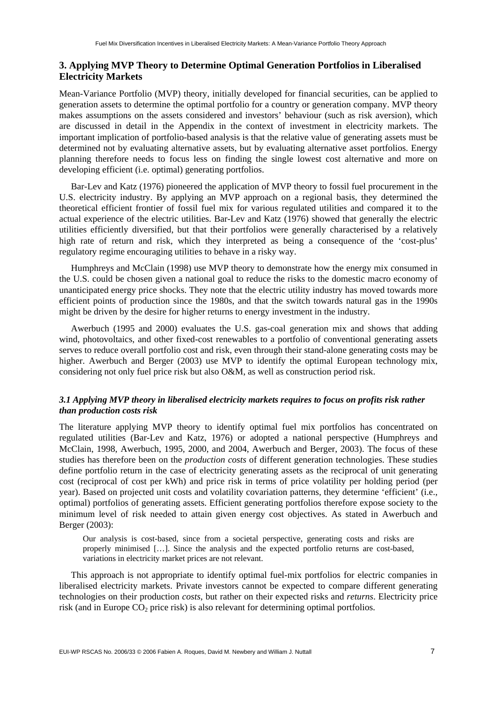#### **3. Applying MVP Theory to Determine Optimal Generation Portfolios in Liberalised Electricity Markets**

Mean-Variance Portfolio (MVP) theory, initially developed for financial securities, can be applied to generation assets to determine the optimal portfolio for a country or generation company. MVP theory makes assumptions on the assets considered and investors' behaviour (such as risk aversion), which are discussed in detail in the Appendix in the context of investment in electricity markets. The important implication of portfolio-based analysis is that the relative value of generating assets must be determined not by evaluating alternative assets, but by evaluating alternative asset portfolios. Energy planning therefore needs to focus less on finding the single lowest cost alternative and more on developing efficient (i.e. optimal) generating portfolios.

Bar-Lev and Katz (1976) pioneered the application of MVP theory to fossil fuel procurement in the U.S. electricity industry. By applying an MVP approach on a regional basis, they determined the theoretical efficient frontier of fossil fuel mix for various regulated utilities and compared it to the actual experience of the electric utilities. Bar-Lev and Katz (1976) showed that generally the electric utilities efficiently diversified, but that their portfolios were generally characterised by a relatively high rate of return and risk, which they interpreted as being a consequence of the 'cost-plus' regulatory regime encouraging utilities to behave in a risky way.

Humphreys and McClain (1998) use MVP theory to demonstrate how the energy mix consumed in the U.S. could be chosen given a national goal to reduce the risks to the domestic macro economy of unanticipated energy price shocks. They note that the electric utility industry has moved towards more efficient points of production since the 1980s, and that the switch towards natural gas in the 1990s might be driven by the desire for higher returns to energy investment in the industry.

Awerbuch (1995 and 2000) evaluates the U.S. gas-coal generation mix and shows that adding wind, photovoltaics, and other fixed-cost renewables to a portfolio of conventional generating assets serves to reduce overall portfolio cost and risk, even through their stand-alone generating costs may be higher. Awerbuch and Berger (2003) use MVP to identify the optimal European technology mix, considering not only fuel price risk but also O&M, as well as construction period risk.

#### *3.1 Applying MVP theory in liberalised electricity markets requires to focus on profits risk rather than production costs risk*

The literature applying MVP theory to identify optimal fuel mix portfolios has concentrated on regulated utilities (Bar-Lev and Katz, 1976) or adopted a national perspective (Humphreys and McClain, 1998, Awerbuch, 1995, 2000, and 2004, Awerbuch and Berger, 2003). The focus of these studies has therefore been on the *production costs* of different generation technologies. These studies define portfolio return in the case of electricity generating assets as the reciprocal of unit generating cost (reciprocal of cost per kWh) and price risk in terms of price volatility per holding period (per year). Based on projected unit costs and volatility covariation patterns, they determine 'efficient' (i.e., optimal) portfolios of generating assets. Efficient generating portfolios therefore expose society to the minimum level of risk needed to attain given energy cost objectives. As stated in Awerbuch and Berger (2003):

Our analysis is cost-based, since from a societal perspective, generating costs and risks are properly minimised […]. Since the analysis and the expected portfolio returns are cost-based, variations in electricity market prices are not relevant.

This approach is not appropriate to identify optimal fuel-mix portfolios for electric companies in liberalised electricity markets. Private investors cannot be expected to compare different generating technologies on their production *costs*, but rather on their expected risks and *returns*. Electricity price risk (and in Europe  $CO_2$  price risk) is also relevant for determining optimal portfolios.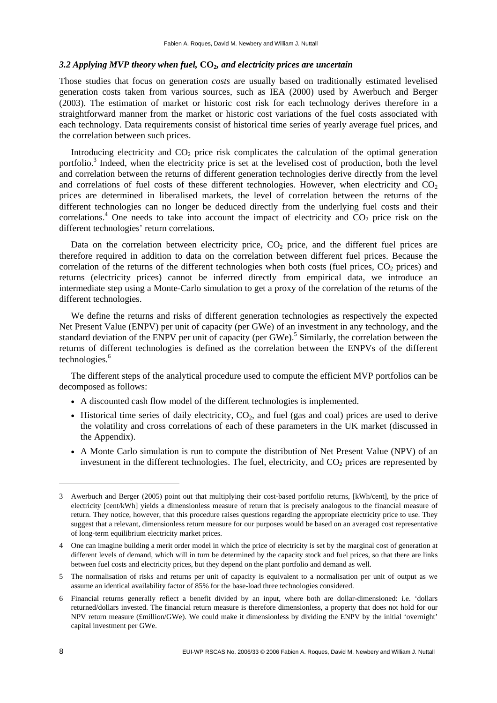#### *3.2 Applying MVP theory when fuel,* **CO2***, and electricity prices are uncertain*

Those studies that focus on generation *costs* are usually based on traditionally estimated levelised generation costs taken from various sources, such as IEA (2000) used by Awerbuch and Berger (2003). The estimation of market or historic cost risk for each technology derives therefore in a straightforward manner from the market or historic cost variations of the fuel costs associated with each technology. Data requirements consist of historical time series of yearly average fuel prices, and the correlation between such prices.

Introducing electricity and  $CO<sub>2</sub>$  price risk complicates the calculation of the optimal generation portfolio.<sup>3</sup> Indeed, when the electricity price is set at the levelised cost of production, both the level and correlation between the returns of different generation technologies derive directly from the level and correlations of fuel costs of these different technologies. However, when electricity and  $CO<sub>2</sub>$ prices are determined in liberalised markets, the level of correlation between the returns of the different technologies can no longer be deduced directly from the underlying fuel costs and their correlations.<sup>4</sup> One needs to take into account the impact of electricity and  $CO<sub>2</sub>$  price risk on the different technologies' return correlations.

Data on the correlation between electricity price,  $CO<sub>2</sub>$  price, and the different fuel prices are therefore required in addition to data on the correlation between different fuel prices. Because the correlation of the returns of the different technologies when both costs (fuel prices,  $CO<sub>2</sub>$  prices) and returns (electricity prices) cannot be inferred directly from empirical data, we introduce an intermediate step using a Monte-Carlo simulation to get a proxy of the correlation of the returns of the different technologies.

We define the returns and risks of different generation technologies as respectively the expected Net Present Value (ENPV) per unit of capacity (per GWe) of an investment in any technology, and the standard deviation of the ENPV per unit of capacity (per GWe).<sup>5</sup> Similarly, the correlation between the returns of different technologies is defined as the correlation between the ENPVs of the different technologies.<sup>6</sup>

The different steps of the analytical procedure used to compute the efficient MVP portfolios can be decomposed as follows:

- A discounted cash flow model of the different technologies is implemented.
- Historical time series of daily electricity,  $CO<sub>2</sub>$ , and fuel (gas and coal) prices are used to derive the volatility and cross correlations of each of these parameters in the UK market (discussed in the Appendix).
- A Monte Carlo simulation is run to compute the distribution of Net Present Value (NPV) of an investment in the different technologies. The fuel, electricity, and  $CO<sub>2</sub>$  prices are represented by

-

<sup>3</sup> Awerbuch and Berger (2005) point out that multiplying their cost-based portfolio returns, [kWh/cent], by the price of electricity [cent/kWh] yields a dimensionless measure of return that is precisely analogous to the financial measure of return. They notice, however, that this procedure raises questions regarding the appropriate electricity price to use. They suggest that a relevant, dimensionless return measure for our purposes would be based on an averaged cost representative of long-term equilibrium electricity market prices.

<sup>4</sup> One can imagine building a merit order model in which the price of electricity is set by the marginal cost of generation at different levels of demand, which will in turn be determined by the capacity stock and fuel prices, so that there are links between fuel costs and electricity prices, but they depend on the plant portfolio and demand as well.

<sup>5</sup> The normalisation of risks and returns per unit of capacity is equivalent to a normalisation per unit of output as we assume an identical availability factor of 85% for the base-load three technologies considered.

<sup>6</sup> Financial returns generally reflect a benefit divided by an input, where both are dollar-dimensioned: i.e. 'dollars returned/dollars invested. The financial return measure is therefore dimensionless, a property that does not hold for our NPV return measure (£million/GWe). We could make it dimensionless by dividing the ENPV by the initial 'overnight' capital investment per GWe.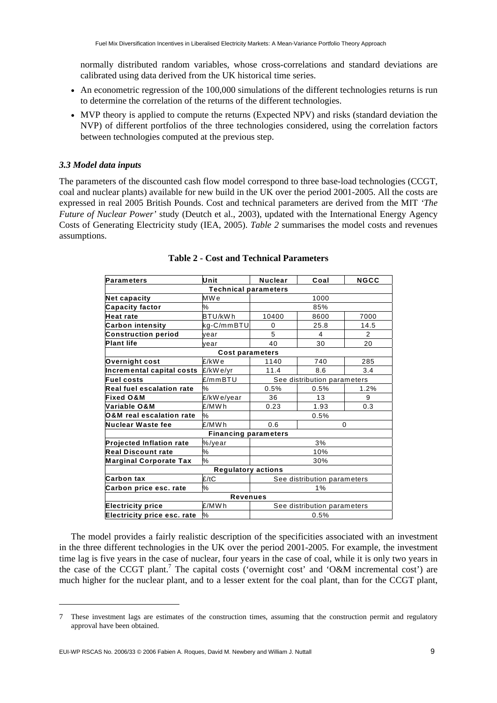normally distributed random variables, whose cross-correlations and standard deviations are calibrated using data derived from the UK historical time series.

- An econometric regression of the 100,000 simulations of the different technologies returns is run to determine the correlation of the returns of the different technologies.
- MVP theory is applied to compute the returns (Expected NPV) and risks (standard deviation the NVP) of different portfolios of the three technologies considered, using the correlation factors between technologies computed at the previous step.

#### *3.3 Model data inputs*

-

The parameters of the discounted cash flow model correspond to three base-load technologies (CCGT, coal and nuclear plants) available for new build in the UK over the period 2001-2005. All the costs are expressed in real 2005 British Pounds. Cost and technical parameters are derived from the MIT *'The Future of Nuclear Power'* study (Deutch et al., 2003), updated with the International Energy Agency Costs of Generating Electricity study (IEA, 2005). *Table 2* summarises the model costs and revenues assumptions.

| <b>Parameters</b>                | Unit                        | <b>Nuclear</b>              | Coal                        | <b>NGCC</b> |  |  |  |
|----------------------------------|-----------------------------|-----------------------------|-----------------------------|-------------|--|--|--|
| <b>Technical parameters</b>      |                             |                             |                             |             |  |  |  |
| Net capacity                     | MW <sub>e</sub>             |                             | 1000                        |             |  |  |  |
| <b>Capacity factor</b>           | ℅                           |                             | 85%                         |             |  |  |  |
| <b>Heat rate</b>                 | BTU/kWh                     | 10400                       | 8600                        | 7000        |  |  |  |
| <b>Carbon intensity</b>          | kg-C/mmBTU                  | 0                           | 25.8                        | 14.5        |  |  |  |
| <b>Construction period</b>       | vear                        | 5                           | 4                           | 2           |  |  |  |
| <b>Plant life</b>                | vear                        | 40                          | 30                          | 20          |  |  |  |
|                                  | <b>Cost parameters</b>      |                             |                             |             |  |  |  |
| Overnight cost                   | £/kWe                       | 1140                        | 740                         | 285         |  |  |  |
| Incremental capital costs        | £/kWe/yr                    | 11.4                        | 8.6                         | 3.4         |  |  |  |
| <b>Fuel costs</b>                | £/mmBTU                     | See distribution parameters |                             |             |  |  |  |
| <b>Real fuel escalation rate</b> | ℅                           | 0.5%<br>0.5%                |                             | 1.2%        |  |  |  |
| <b>Fixed O&amp;M</b>             | £/kWe/year                  | 36                          | 13                          | 9           |  |  |  |
| Variable O&M                     | £/MWh                       | 0.23                        | 1.93                        | 0.3         |  |  |  |
| O&M real escalation rate         | %                           |                             | 0.5%                        |             |  |  |  |
| Nuclear Waste fee                | £/MWh                       | 0.6                         |                             | 0           |  |  |  |
|                                  | <b>Financing parameters</b> |                             |                             |             |  |  |  |
| Projected Inflation rate         | %/year                      |                             | 3%                          |             |  |  |  |
| <b>Real Discount rate</b>        | ℅                           | 10%                         |                             |             |  |  |  |
| <b>Marginal Corporate Tax</b>    | $\%$                        | 30%                         |                             |             |  |  |  |
| <b>Regulatory actions</b>        |                             |                             |                             |             |  |  |  |
| <b>Carbon tax</b>                | £/tC                        | See distribution parameters |                             |             |  |  |  |
| Carbon price esc. rate           | ℅                           | 1%                          |                             |             |  |  |  |
| <b>Revenues</b>                  |                             |                             |                             |             |  |  |  |
| <b>Electricity price</b>         | £/MWh                       |                             | See distribution parameters |             |  |  |  |
| Electricity price esc. rate      | %                           | 0.5%                        |                             |             |  |  |  |

#### **Table 2 - Cost and Technical Parameters**

The model provides a fairly realistic description of the specificities associated with an investment in the three different technologies in the UK over the period 2001-2005. For example, the investment time lag is five years in the case of nuclear, four years in the case of coal, while it is only two years in the case of the CCGT plant.<sup>7</sup> The capital costs ('overnight cost' and 'O&M incremental cost') are much higher for the nuclear plant, and to a lesser extent for the coal plant, than for the CCGT plant,

<sup>7</sup> These investment lags are estimates of the construction times, assuming that the construction permit and regulatory approval have been obtained.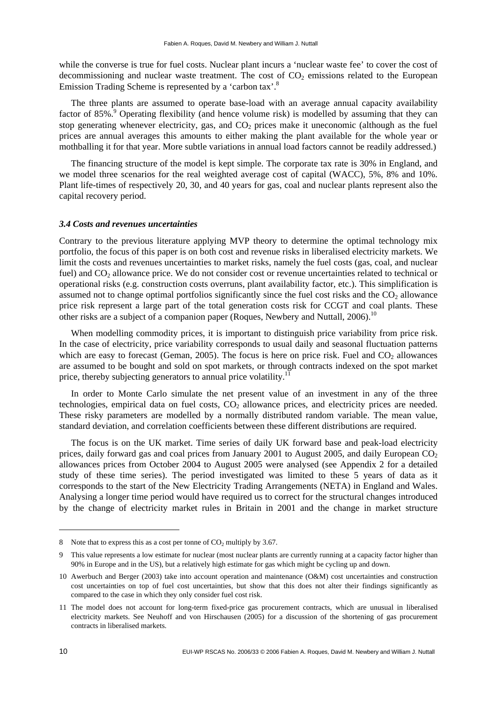while the converse is true for fuel costs. Nuclear plant incurs a 'nuclear waste fee' to cover the cost of decommissioning and nuclear waste treatment. The cost of  $CO<sub>2</sub>$  emissions related to the European Emission Trading Scheme is represented by a 'carbon tax'.<sup>8</sup>

The three plants are assumed to operate base-load with an average annual capacity availability factor of 85%.<sup>9</sup> Operating flexibility (and hence volume risk) is modelled by assuming that they can stop generating whenever electricity, gas, and  $CO<sub>2</sub>$  prices make it uneconomic (although as the fuel prices are annual averages this amounts to either making the plant available for the whole year or mothballing it for that year. More subtle variations in annual load factors cannot be readily addressed.)

The financing structure of the model is kept simple. The corporate tax rate is 30% in England, and we model three scenarios for the real weighted average cost of capital (WACC), 5%, 8% and 10%. Plant life-times of respectively 20, 30, and 40 years for gas, coal and nuclear plants represent also the capital recovery period.

#### *3.4 Costs and revenues uncertainties*

Contrary to the previous literature applying MVP theory to determine the optimal technology mix portfolio, the focus of this paper is on both cost and revenue risks in liberalised electricity markets. We limit the costs and revenues uncertainties to market risks, namely the fuel costs (gas, coal, and nuclear fuel) and CO<sub>2</sub> allowance price. We do not consider cost or revenue uncertainties related to technical or operational risks (e.g. construction costs overruns, plant availability factor, etc.). This simplification is assumed not to change optimal portfolios significantly since the fuel cost risks and the  $CO<sub>2</sub>$  allowance price risk represent a large part of the total generation costs risk for CCGT and coal plants. These other risks are a subject of a companion paper (Roques, Newbery and Nuttall,  $2006$ ).<sup>10</sup>

When modelling commodity prices, it is important to distinguish price variability from price risk. In the case of electricity, price variability corresponds to usual daily and seasonal fluctuation patterns which are easy to forecast (Geman, 2005). The focus is here on price risk. Fuel and  $CO<sub>2</sub>$  allowances are assumed to be bought and sold on spot markets, or through contracts indexed on the spot market price, thereby subjecting generators to annual price volatility.<sup>11</sup>

In order to Monte Carlo simulate the net present value of an investment in any of the three technologies, empirical data on fuel costs,  $CO<sub>2</sub>$  allowance prices, and electricity prices are needed. These risky parameters are modelled by a normally distributed random variable. The mean value, standard deviation, and correlation coefficients between these different distributions are required.

The focus is on the UK market. Time series of daily UK forward base and peak-load electricity prices, daily forward gas and coal prices from January 2001 to August 2005, and daily European  $CO<sub>2</sub>$ allowances prices from October 2004 to August 2005 were analysed (see Appendix 2 for a detailed study of these time series). The period investigated was limited to these 5 years of data as it corresponds to the start of the New Electricity Trading Arrangements (NETA) in England and Wales. Analysing a longer time period would have required us to correct for the structural changes introduced by the change of electricity market rules in Britain in 2001 and the change in market structure

<sup>8</sup> Note that to express this as a cost per tonne of  $CO<sub>2</sub>$  multiply by 3.67.

<sup>9</sup> This value represents a low estimate for nuclear (most nuclear plants are currently running at a capacity factor higher than 90% in Europe and in the US), but a relatively high estimate for gas which might be cycling up and down.

<sup>10</sup> Awerbuch and Berger (2003) take into account operation and maintenance (O&M) cost uncertainties and construction cost uncertainties on top of fuel cost uncertainties, but show that this does not alter their findings significantly as compared to the case in which they only consider fuel cost risk.

<sup>11</sup> The model does not account for long-term fixed-price gas procurement contracts, which are unusual in liberalised electricity markets. See Neuhoff and von Hirschausen (2005) for a discussion of the shortening of gas procurement contracts in liberalised markets.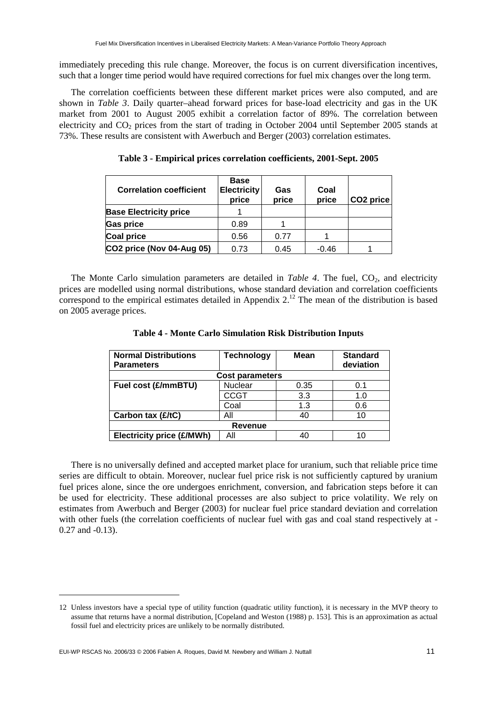immediately preceding this rule change. Moreover, the focus is on current diversification incentives, such that a longer time period would have required corrections for fuel mix changes over the long term.

The correlation coefficients between these different market prices were also computed, and are shown in *Table 3*. Daily quarter–ahead forward prices for base-load electricity and gas in the UK market from 2001 to August 2005 exhibit a correlation factor of 89%. The correlation between electricity and  $CO<sub>2</sub>$  prices from the start of trading in October 2004 until September 2005 stands at 73%. These results are consistent with Awerbuch and Berger (2003) correlation estimates.

| <b>Correlation coefficient</b> | <b>Base</b><br><b>Electricity</b><br>price | Gas<br>price | Coal<br>price | CO <sub>2</sub> price |
|--------------------------------|--------------------------------------------|--------------|---------------|-----------------------|
| <b>Base Electricity price</b>  |                                            |              |               |                       |
| <b>Gas price</b>               | 0.89                                       |              |               |                       |
| Coal price                     | 0.56                                       | 0.77         |               |                       |
| CO2 price (Nov 04-Aug 05)      | 0.73                                       | 0.45         | $-0.46$       |                       |

**Table 3 - Empirical prices correlation coefficients, 2001-Sept. 2005** 

The Monte Carlo simulation parameters are detailed in *Table 4*. The fuel, CO<sub>2</sub>, and electricity prices are modelled using normal distributions, whose standard deviation and correlation coefficients correspond to the empirical estimates detailed in Appendix  $2<sup>12</sup>$ . The mean of the distribution is based on 2005 average prices.

| <b>Normal Distributions</b><br><b>Parameters</b> | Technology     | Mean | <b>Standard</b><br>deviation |  |  |  |  |
|--------------------------------------------------|----------------|------|------------------------------|--|--|--|--|
| <b>Cost parameters</b>                           |                |      |                              |  |  |  |  |
| Fuel cost (£/mmBTU)                              | <b>Nuclear</b> | 0.35 | 0.1                          |  |  |  |  |
|                                                  | CCGT           | 3.3  | 1.0                          |  |  |  |  |
|                                                  | Coal           | 1.3  | 0.6                          |  |  |  |  |
| Carbon tax (£/tC)                                | All            | 40   | 10                           |  |  |  |  |
| <b>Revenue</b>                                   |                |      |                              |  |  |  |  |
| Electricity price (£/MWh)                        | Αll            | 40   |                              |  |  |  |  |

**Table 4 - Monte Carlo Simulation Risk Distribution Inputs** 

There is no universally defined and accepted market place for uranium, such that reliable price time series are difficult to obtain. Moreover, nuclear fuel price risk is not sufficiently captured by uranium fuel prices alone, since the ore undergoes enrichment, conversion, and fabrication steps before it can be used for electricity. These additional processes are also subject to price volatility. We rely on estimates from Awerbuch and Berger (2003) for nuclear fuel price standard deviation and correlation with other fuels (the correlation coefficients of nuclear fuel with gas and coal stand respectively at -0.27 and -0.13).

<sup>12</sup> Unless investors have a special type of utility function (quadratic utility function), it is necessary in the MVP theory to assume that returns have a normal distribution, [Copeland and Weston (1988) p. 153]. This is an approximation as actual fossil fuel and electricity prices are unlikely to be normally distributed.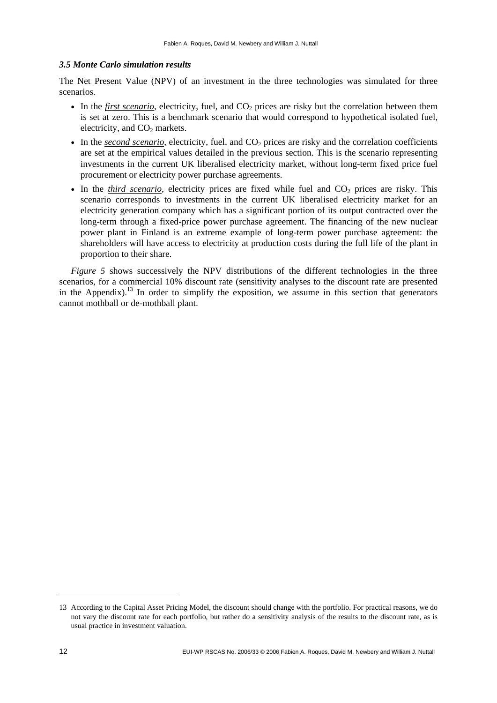#### *3.5 Monte Carlo simulation results*

The Net Present Value (NPV) of an investment in the three technologies was simulated for three scenarios.

- In the *first scenario*, electricity, fuel, and CO<sub>2</sub> prices are risky but the correlation between them is set at zero. This is a benchmark scenario that would correspond to hypothetical isolated fuel, electricity, and  $CO<sub>2</sub>$  markets.
- In the *second scenario*, electricity, fuel, and CO<sub>2</sub> prices are risky and the correlation coefficients are set at the empirical values detailed in the previous section. This is the scenario representing investments in the current UK liberalised electricity market, without long-term fixed price fuel procurement or electricity power purchase agreements.
- In the *third scenario*, electricity prices are fixed while fuel and CO<sub>2</sub> prices are risky. This scenario corresponds to investments in the current UK liberalised electricity market for an electricity generation company which has a significant portion of its output contracted over the long-term through a fixed-price power purchase agreement. The financing of the new nuclear power plant in Finland is an extreme example of long-term power purchase agreement: the shareholders will have access to electricity at production costs during the full life of the plant in proportion to their share.

*Figure 5* shows successively the NPV distributions of the different technologies in the three scenarios, for a commercial 10% discount rate (sensitivity analyses to the discount rate are presented in the Appendix).<sup>13</sup> In order to simplify the exposition, we assume in this section that generators cannot mothball or de-mothball plant.

<sup>13</sup> According to the Capital Asset Pricing Model, the discount should change with the portfolio. For practical reasons, we do not vary the discount rate for each portfolio, but rather do a sensitivity analysis of the results to the discount rate, as is usual practice in investment valuation.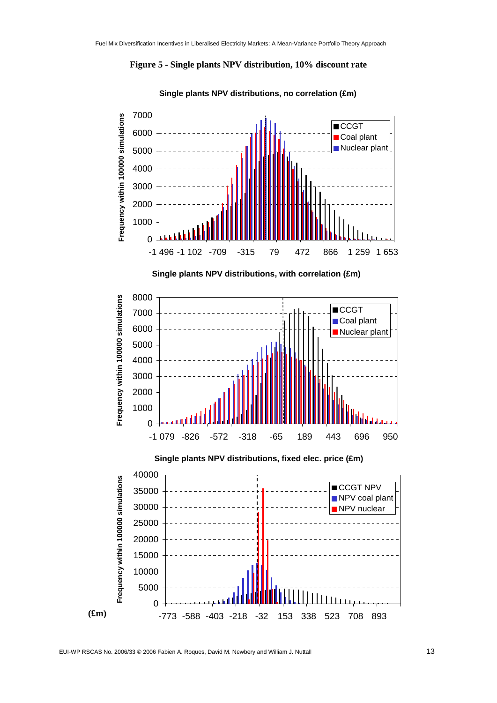



**Single plants NPV distributions, no correlation (£m)**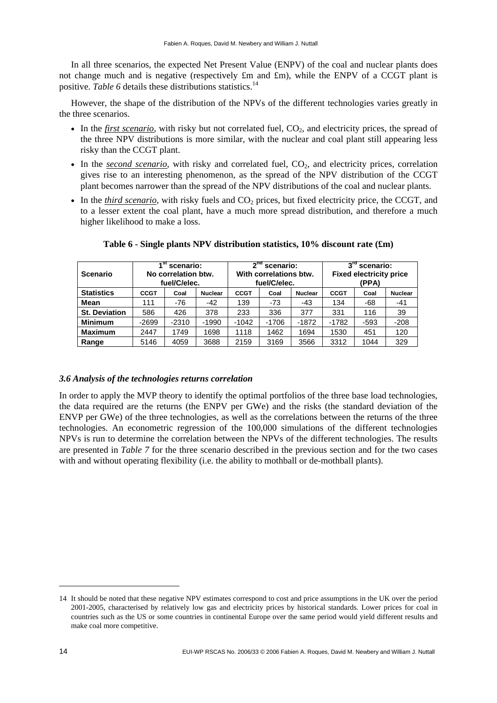In all three scenarios, the expected Net Present Value (ENPV) of the coal and nuclear plants does not change much and is negative (respectively £m and £m), while the ENPV of a CCGT plant is positive. Table 6 details these distributions statistics.<sup>14</sup>

However, the shape of the distribution of the NPVs of the different technologies varies greatly in the three scenarios.

- In the *first scenario*, with risky but not correlated fuel, CO<sub>2</sub>, and electricity prices, the spread of the three NPV distributions is more similar, with the nuclear and coal plant still appearing less risky than the CCGT plant.
- In the *second scenario*, with risky and correlated fuel, CO<sub>2</sub>, and electricity prices, correlation gives rise to an interesting phenomenon, as the spread of the NPV distribution of the CCGT plant becomes narrower than the spread of the NPV distributions of the coal and nuclear plants.
- In the *third scenario*, with risky fuels and  $CO<sub>2</sub>$  prices, but fixed electricity price, the CCGT, and to a lesser extent the coal plant, have a much more spread distribution, and therefore a much higher likelihood to make a loss.

| <b>Scenario</b>      |             | ⊿st<br>2 <sup>nd</sup><br>$3rd$ scenario:<br>scenario:<br>scenario:<br>No correlation btw.<br>With correlations btw.<br><b>Fixed electricity price</b><br>fuel/C/elec.<br>fuel/C/elec.<br>(PPA) |                |             |         |                |             |        |                |
|----------------------|-------------|-------------------------------------------------------------------------------------------------------------------------------------------------------------------------------------------------|----------------|-------------|---------|----------------|-------------|--------|----------------|
| <b>Statistics</b>    | <b>CCGT</b> | Coal                                                                                                                                                                                            | <b>Nuclear</b> | <b>CCGT</b> | Coal    | <b>Nuclear</b> | <b>CCGT</b> | Coal   | <b>Nuclear</b> |
| Mean                 | 111         | $-76$                                                                                                                                                                                           | $-42$          | 139         | $-73$   | $-43$          | 134         | -68    | $-41$          |
| <b>St. Deviation</b> | 586         | 426                                                                                                                                                                                             | 378            | 233         | 336     | 377            | 331         | 116    | 39             |
| <b>Minimum</b>       | $-2699$     | $-2310$                                                                                                                                                                                         | $-1990$        | $-1042$     | $-1706$ | $-1872$        | $-1782$     | $-593$ | $-208$         |
| <b>Maximum</b>       | 2447        | 1749                                                                                                                                                                                            | 1698           | 1118        | 1462    | 1694           | 1530        | 451    | 120            |
| Range                | 5146        | 4059                                                                                                                                                                                            | 3688           | 2159        | 3169    | 3566           | 3312        | 1044   | 329            |

**Table 6 - Single plants NPV distribution statistics, 10% discount rate (£m)** 

#### *3.6 Analysis of the technologies returns correlation*

In order to apply the MVP theory to identify the optimal portfolios of the three base load technologies, the data required are the returns (the ENPV per GWe) and the risks (the standard deviation of the ENVP per GWe) of the three technologies, as well as the correlations between the returns of the three technologies. An econometric regression of the 100,000 simulations of the different technologies NPVs is run to determine the correlation between the NPVs of the different technologies. The results are presented in *Table 7* for the three scenario described in the previous section and for the two cases with and without operating flexibility (i.e. the ability to mothball or de-mothball plants).

<sup>14</sup> It should be noted that these negative NPV estimates correspond to cost and price assumptions in the UK over the period 2001-2005, characterised by relatively low gas and electricity prices by historical standards. Lower prices for coal in countries such as the US or some countries in continental Europe over the same period would yield different results and make coal more competitive.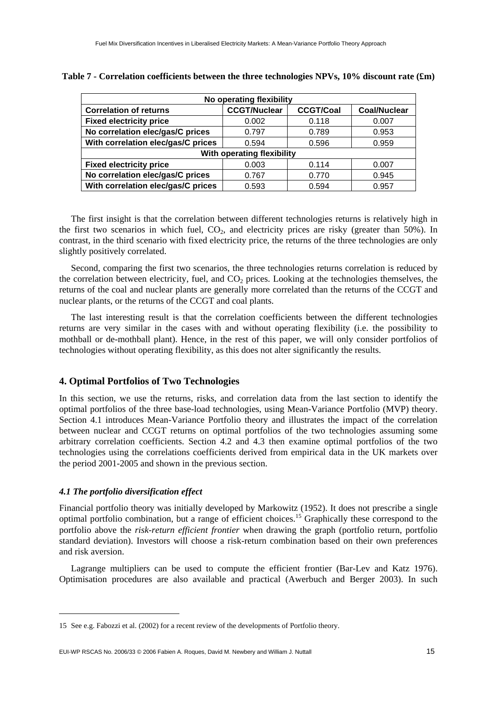| No operating flexibility           |                     |                  |                     |  |  |  |
|------------------------------------|---------------------|------------------|---------------------|--|--|--|
| <b>Correlation of returns</b>      | <b>CCGT/Nuclear</b> | <b>CCGT/Coal</b> | <b>Coal/Nuclear</b> |  |  |  |
| <b>Fixed electricity price</b>     | 0.002               | 0.118            | 0.007               |  |  |  |
| No correlation elec/gas/C prices   | 0.797               | 0.789            | 0.953               |  |  |  |
| With correlation elec/gas/C prices | 0.594               | 0.596            | 0.959               |  |  |  |
| With operating flexibility         |                     |                  |                     |  |  |  |
| <b>Fixed electricity price</b>     | 0.003               | 0.114            | 0.007               |  |  |  |
| No correlation elec/gas/C prices   | 0.767               | 0.770            | 0.945               |  |  |  |
| With correlation elec/gas/C prices | 0.593               | 0.594            | 0.957               |  |  |  |

|  |  | Table 7 - Correlation coefficients between the three technologies NPVs, $10\%$ discount rate (£m) |  |  |  |
|--|--|---------------------------------------------------------------------------------------------------|--|--|--|
|--|--|---------------------------------------------------------------------------------------------------|--|--|--|

The first insight is that the correlation between different technologies returns is relatively high in the first two scenarios in which fuel,  $CO<sub>2</sub>$ , and electricity prices are risky (greater than 50%). In contrast, in the third scenario with fixed electricity price, the returns of the three technologies are only slightly positively correlated.

Second, comparing the first two scenarios, the three technologies returns correlation is reduced by the correlation between electricity, fuel, and  $CO<sub>2</sub>$  prices. Looking at the technologies themselves, the returns of the coal and nuclear plants are generally more correlated than the returns of the CCGT and nuclear plants, or the returns of the CCGT and coal plants.

The last interesting result is that the correlation coefficients between the different technologies returns are very similar in the cases with and without operating flexibility (i.e. the possibility to mothball or de-mothball plant). Hence, in the rest of this paper, we will only consider portfolios of technologies without operating flexibility, as this does not alter significantly the results.

#### **4. Optimal Portfolios of Two Technologies**

In this section, we use the returns, risks, and correlation data from the last section to identify the optimal portfolios of the three base-load technologies, using Mean-Variance Portfolio (MVP) theory. Section 4.1 introduces Mean-Variance Portfolio theory and illustrates the impact of the correlation between nuclear and CCGT returns on optimal portfolios of the two technologies assuming some arbitrary correlation coefficients. Section 4.2 and 4.3 then examine optimal portfolios of the two technologies using the correlations coefficients derived from empirical data in the UK markets over the period 2001-2005 and shown in the previous section.

#### *4.1 The portfolio diversification effect*

1

Financial portfolio theory was initially developed by Markowitz (1952). It does not prescribe a single optimal portfolio combination, but a range of efficient choices.15 Graphically these correspond to the portfolio above the *risk-return efficient frontier* when drawing the graph (portfolio return, portfolio standard deviation). Investors will choose a risk-return combination based on their own preferences and risk aversion.

Lagrange multipliers can be used to compute the efficient frontier (Bar-Lev and Katz 1976). Optimisation procedures are also available and practical (Awerbuch and Berger 2003). In such

<sup>15</sup> See e.g. Fabozzi et al. (2002) for a recent review of the developments of Portfolio theory.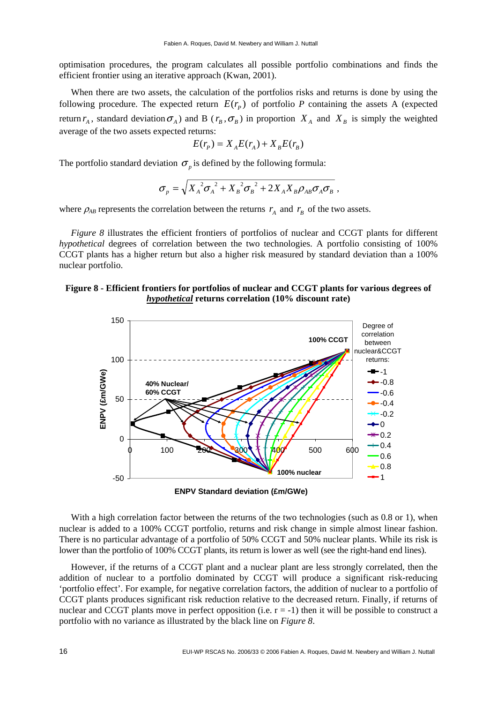optimisation procedures, the program calculates all possible portfolio combinations and finds the efficient frontier using an iterative approach (Kwan, 2001).

When there are two assets, the calculation of the portfolios risks and returns is done by using the following procedure. The expected return  $E(r_p)$  of portfolio *P* containing the assets A (expected return  $r_A$ , standard deviation  $\sigma_A$ ) and B ( $r_B$ ,  $\sigma_B$ ) in proportion  $X_A$  and  $X_B$  is simply the weighted average of the two assets expected returns:

$$
E(r_p) = X_A E(r_A) + X_B E(r_B)
$$

The portfolio standard deviation  $\sigma_p$  is defined by the following formula:

$$
\sigma_{p} = \sqrt{X_{A}^{2} \sigma_{A}^{2} + X_{B}^{2} \sigma_{B}^{2} + 2X_{A}X_{B} \rho_{AB} \sigma_{A} \sigma_{B} } ,
$$

where  $\rho_{AB}$  represents the correlation between the returns  $r_A$  and  $r_B$  of the two assets.

*Figure 8* illustrates the efficient frontiers of portfolios of nuclear and CCGT plants for different *hypothetical* degrees of correlation between the two technologies. A portfolio consisting of 100% CCGT plants has a higher return but also a higher risk measured by standard deviation than a 100% nuclear portfolio.

#### **Figure 8 - Efficient frontiers for portfolios of nuclear and CCGT plants for various degrees of**  *hypothetical* **returns correlation (10% discount rate)**



With a high correlation factor between the returns of the two technologies (such as 0.8 or 1), when nuclear is added to a 100% CCGT portfolio, returns and risk change in simple almost linear fashion. There is no particular advantage of a portfolio of 50% CCGT and 50% nuclear plants. While its risk is lower than the portfolio of 100% CCGT plants, its return is lower as well (see the right-hand end lines).

However, if the returns of a CCGT plant and a nuclear plant are less strongly correlated, then the addition of nuclear to a portfolio dominated by CCGT will produce a significant risk-reducing 'portfolio effect'. For example, for negative correlation factors, the addition of nuclear to a portfolio of CCGT plants produces significant risk reduction relative to the decreased return. Finally, if returns of nuclear and CCGT plants move in perfect opposition (i.e.  $r = -1$ ) then it will be possible to construct a portfolio with no variance as illustrated by the black line on *Figure 8*.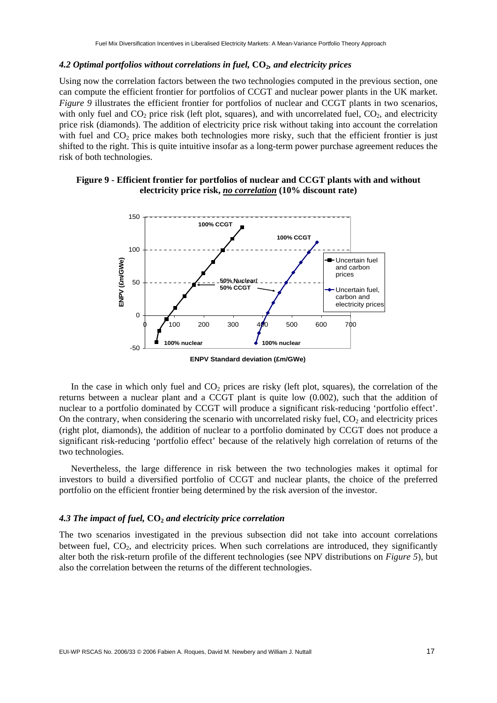#### *4.2 Optimal portfolios without correlations in fuel,* **CO2***, and electricity prices*

Using now the correlation factors between the two technologies computed in the previous section, one can compute the efficient frontier for portfolios of CCGT and nuclear power plants in the UK market. *Figure 9* illustrates the efficient frontier for portfolios of nuclear and CCGT plants in two scenarios, with only fuel and  $CO_2$  price risk (left plot, squares), and with uncorrelated fuel,  $CO_2$ , and electricity price risk (diamonds). The addition of electricity price risk without taking into account the correlation with fuel and  $CO<sub>2</sub>$  price makes both technologies more risky, such that the efficient frontier is just shifted to the right. This is quite intuitive insofar as a long-term power purchase agreement reduces the risk of both technologies.

#### **Figure 9 - Efficient frontier for portfolios of nuclear and CCGT plants with and without electricity price risk,** *no correlation* **(10% discount rate)**



**ENPV Standard deviation (£m/GWe)**

In the case in which only fuel and  $CO<sub>2</sub>$  prices are risky (left plot, squares), the correlation of the returns between a nuclear plant and a CCGT plant is quite low (0.002), such that the addition of nuclear to a portfolio dominated by CCGT will produce a significant risk-reducing 'portfolio effect'. On the contrary, when considering the scenario with uncorrelated risky fuel,  $CO<sub>2</sub>$  and electricity prices (right plot, diamonds), the addition of nuclear to a portfolio dominated by CCGT does not produce a significant risk-reducing 'portfolio effect' because of the relatively high correlation of returns of the two technologies.

Nevertheless, the large difference in risk between the two technologies makes it optimal for investors to build a diversified portfolio of CCGT and nuclear plants, the choice of the preferred portfolio on the efficient frontier being determined by the risk aversion of the investor.

#### 4.3 The impact of fuel,  $CO<sub>2</sub>$  and electricity price correlation

The two scenarios investigated in the previous subsection did not take into account correlations between fuel,  $CO<sub>2</sub>$ , and electricity prices. When such correlations are introduced, they significantly alter both the risk-return profile of the different technologies (see NPV distributions on *Figure 5*), but also the correlation between the returns of the different technologies.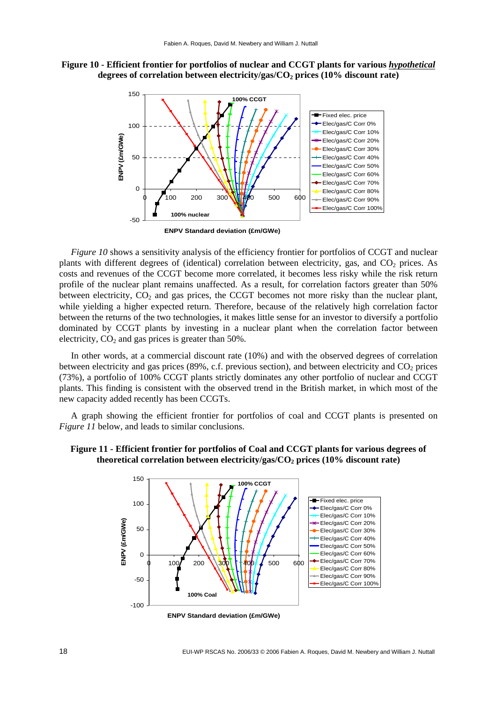**Figure 10 - Efficient frontier for portfolios of nuclear and CCGT plants for various** *hypothetical* degrees of correlation between electricity/gas/CO<sub>2</sub> prices (10% discount rate)



**ENPV Standard deviation (£m/GWe)**

*Figure 10* shows a sensitivity analysis of the efficiency frontier for portfolios of CCGT and nuclear plants with different degrees of (identical) correlation between electricity, gas, and CO<sub>2</sub> prices. As costs and revenues of the CCGT become more correlated, it becomes less risky while the risk return profile of the nuclear plant remains unaffected. As a result, for correlation factors greater than 50% between electricity,  $CO<sub>2</sub>$  and gas prices, the CCGT becomes not more risky than the nuclear plant, while yielding a higher expected return. Therefore, because of the relatively high correlation factor between the returns of the two technologies, it makes little sense for an investor to diversify a portfolio dominated by CCGT plants by investing in a nuclear plant when the correlation factor between electricity,  $CO<sub>2</sub>$  and gas prices is greater than 50%.

In other words, at a commercial discount rate (10%) and with the observed degrees of correlation between electricity and gas prices (89%, c.f. previous section), and between electricity and  $CO<sub>2</sub>$  prices (73%), a portfolio of 100% CCGT plants strictly dominates any other portfolio of nuclear and CCGT plants. This finding is consistent with the observed trend in the British market, in which most of the new capacity added recently has been CCGTs.

A graph showing the efficient frontier for portfolios of coal and CCGT plants is presented on *Figure 11* below, and leads to similar conclusions.



#### **Figure 11 - Efficient frontier for portfolios of Coal and CCGT plants for various degrees of**  theoretical correlation between electricity/gas/CO<sub>2</sub> prices (10% discount rate)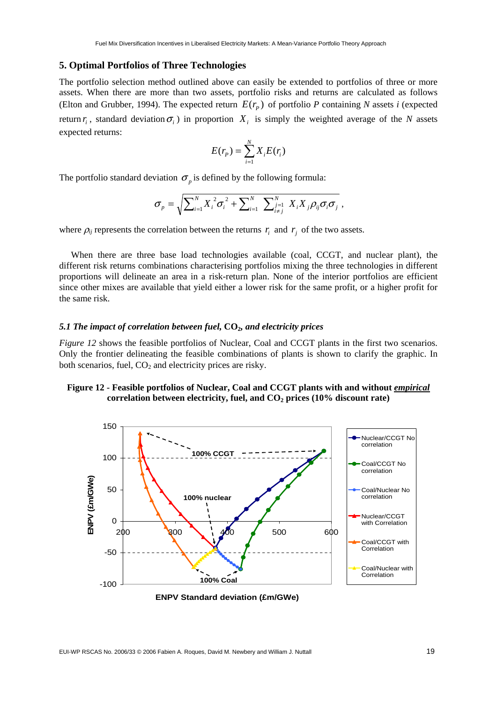#### **5. Optimal Portfolios of Three Technologies**

The portfolio selection method outlined above can easily be extended to portfolios of three or more assets. When there are more than two assets, portfolio risks and returns are calculated as follows (Elton and Grubber, 1994). The expected return  $E(r_p)$  of portfolio *P* containing *N* assets *i* (expected return  $r_i$ , standard deviation  $\sigma_i$ ) in proportion  $X_i$  is simply the weighted average of the *N* assets expected returns:

$$
E(r_p) = \sum_{i=1}^{N} X_i E(r_i)
$$

The portfolio standard deviation  $\sigma_p$  is defined by the following formula:

$$
\sigma_p = \sqrt{\sum_{i=1}^N X_i^2 \sigma_i^2 + \sum_{i=1}^N \sum_{\substack{j=1 \ i \neq j}}^N X_i X_j \rho_{ij} \sigma_i \sigma_j},
$$

where  $\rho_{ij}$  represents the correlation between the returns  $r_i$  and  $r_j$  of the two assets.

When there are three base load technologies available (coal, CCGT, and nuclear plant), the different risk returns combinations characterising portfolios mixing the three technologies in different proportions will delineate an area in a risk-return plan. None of the interior portfolios are efficient since other mixes are available that yield either a lower risk for the same profit, or a higher profit for the same risk.

#### *5.1 The impact of correlation between fuel,* **CO2***, and electricity prices*

*Figure 12* shows the feasible portfolios of Nuclear, Coal and CCGT plants in the first two scenarios. Only the frontier delineating the feasible combinations of plants is shown to clarify the graphic. In both scenarios, fuel,  $CO<sub>2</sub>$  and electricity prices are risky.

#### Figure 12 - Feasible portfolios of Nuclear, Coal and CCGT plants with and without *empirical* correlation between electricity, fuel, and CO<sub>2</sub> prices (10% discount rate)

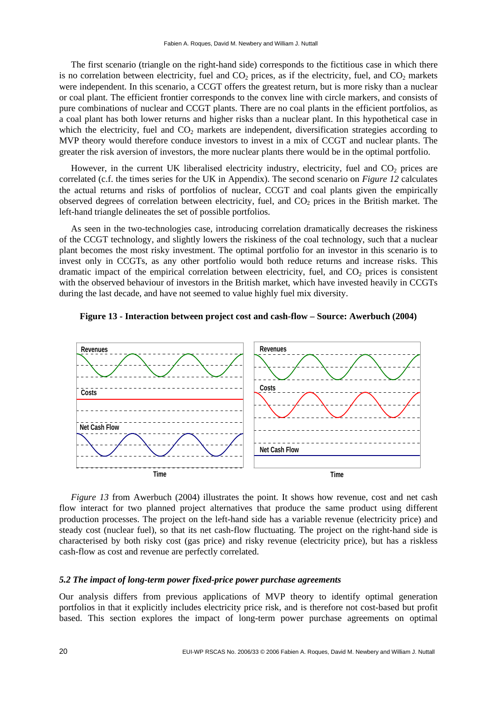The first scenario (triangle on the right-hand side) corresponds to the fictitious case in which there is no correlation between electricity, fuel and  $CO<sub>2</sub>$  prices, as if the electricity, fuel, and  $CO<sub>2</sub>$  markets were independent. In this scenario, a CCGT offers the greatest return, but is more risky than a nuclear or coal plant. The efficient frontier corresponds to the convex line with circle markers, and consists of pure combinations of nuclear and CCGT plants. There are no coal plants in the efficient portfolios, as a coal plant has both lower returns and higher risks than a nuclear plant. In this hypothetical case in which the electricity, fuel and  $CO<sub>2</sub>$  markets are independent, diversification strategies according to MVP theory would therefore conduce investors to invest in a mix of CCGT and nuclear plants. The greater the risk aversion of investors, the more nuclear plants there would be in the optimal portfolio.

However, in the current UK liberalised electricity industry, electricity, fuel and  $CO<sub>2</sub>$  prices are correlated (c.f. the times series for the UK in Appendix). The second scenario on *Figure 12* calculates the actual returns and risks of portfolios of nuclear, CCGT and coal plants given the empirically observed degrees of correlation between electricity, fuel, and  $CO<sub>2</sub>$  prices in the British market. The left-hand triangle delineates the set of possible portfolios.

As seen in the two-technologies case, introducing correlation dramatically decreases the riskiness of the CCGT technology, and slightly lowers the riskiness of the coal technology, such that a nuclear plant becomes the most risky investment. The optimal portfolio for an investor in this scenario is to invest only in CCGTs, as any other portfolio would both reduce returns and increase risks. This dramatic impact of the empirical correlation between electricity, fuel, and  $CO<sub>2</sub>$  prices is consistent with the observed behaviour of investors in the British market, which have invested heavily in CCGTs during the last decade, and have not seemed to value highly fuel mix diversity.



**Costs**

**Net Cash Flow**



*Figure 13* from Awerbuch (2004) illustrates the point. It shows how revenue, cost and net cash flow interact for two planned project alternatives that produce the same product using different production processes. The project on the left-hand side has a variable revenue (electricity price) and steady cost (nuclear fuel), so that its net cash-flow fluctuating. The project on the right-hand side is characterised by both risky cost (gas price) and risky revenue (electricity price), but has a riskless cash-flow as cost and revenue are perfectly correlated.

#### *5.2 The impact of long-term power fixed-price power purchase agreements*

**Time**

Our analysis differs from previous applications of MVP theory to identify optimal generation portfolios in that it explicitly includes electricity price risk, and is therefore not cost-based but profit based. This section explores the impact of long-term power purchase agreements on optimal

**Time**

**Costs**

**Net Cash Flow**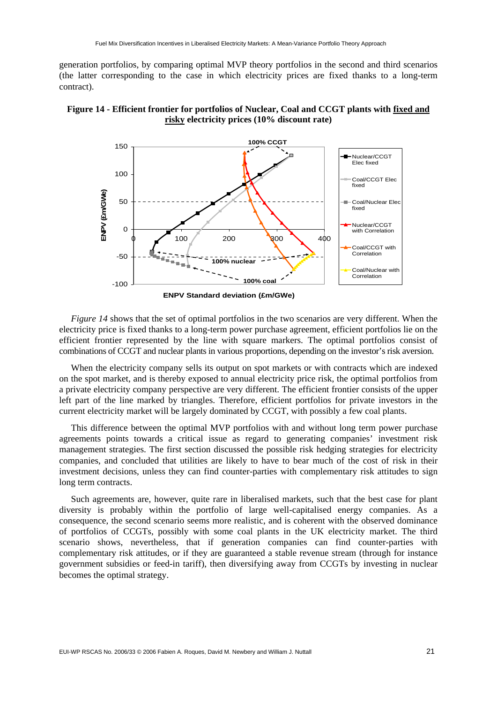generation portfolios, by comparing optimal MVP theory portfolios in the second and third scenarios (the latter corresponding to the case in which electricity prices are fixed thanks to a long-term contract).





*Figure 14* shows that the set of optimal portfolios in the two scenarios are very different. When the electricity price is fixed thanks to a long-term power purchase agreement, efficient portfolios lie on the efficient frontier represented by the line with square markers. The optimal portfolios consist of combinations of CCGT and nuclear plants in various proportions, depending on the investor's risk aversion.

When the electricity company sells its output on spot markets or with contracts which are indexed on the spot market, and is thereby exposed to annual electricity price risk, the optimal portfolios from a private electricity company perspective are very different. The efficient frontier consists of the upper left part of the line marked by triangles. Therefore, efficient portfolios for private investors in the current electricity market will be largely dominated by CCGT, with possibly a few coal plants.

This difference between the optimal MVP portfolios with and without long term power purchase agreements points towards a critical issue as regard to generating companies' investment risk management strategies. The first section discussed the possible risk hedging strategies for electricity companies, and concluded that utilities are likely to have to bear much of the cost of risk in their investment decisions, unless they can find counter-parties with complementary risk attitudes to sign long term contracts.

Such agreements are, however, quite rare in liberalised markets, such that the best case for plant diversity is probably within the portfolio of large well-capitalised energy companies. As a consequence, the second scenario seems more realistic, and is coherent with the observed dominance of portfolios of CCGTs, possibly with some coal plants in the UK electricity market. The third scenario shows, nevertheless, that if generation companies can find counter-parties with complementary risk attitudes, or if they are guaranteed a stable revenue stream (through for instance government subsidies or feed-in tariff), then diversifying away from CCGTs by investing in nuclear becomes the optimal strategy.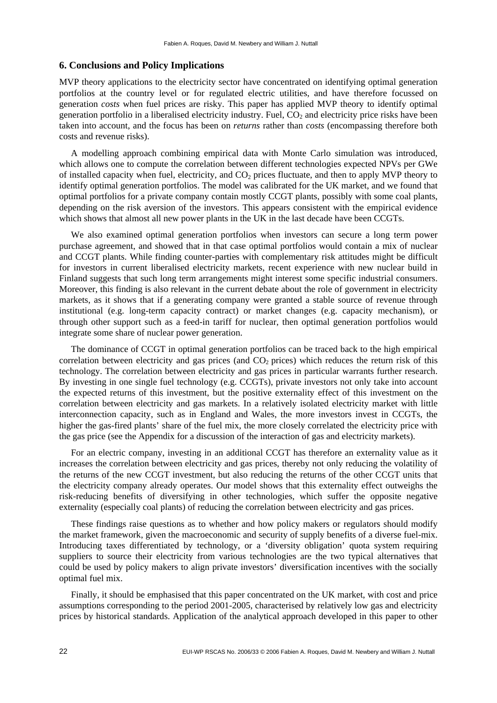#### **6. Conclusions and Policy Implications**

MVP theory applications to the electricity sector have concentrated on identifying optimal generation portfolios at the country level or for regulated electric utilities, and have therefore focussed on generation *costs* when fuel prices are risky. This paper has applied MVP theory to identify optimal generation portfolio in a liberalised electricity industry. Fuel,  $CO<sub>2</sub>$  and electricity price risks have been taken into account, and the focus has been on *returns* rather than *costs* (encompassing therefore both costs and revenue risks).

A modelling approach combining empirical data with Monte Carlo simulation was introduced, which allows one to compute the correlation between different technologies expected NPVs per GWe of installed capacity when fuel, electricity, and CO<sub>2</sub> prices fluctuate, and then to apply MVP theory to identify optimal generation portfolios. The model was calibrated for the UK market, and we found that optimal portfolios for a private company contain mostly CCGT plants, possibly with some coal plants, depending on the risk aversion of the investors. This appears consistent with the empirical evidence which shows that almost all new power plants in the UK in the last decade have been CCGTs.

We also examined optimal generation portfolios when investors can secure a long term power purchase agreement, and showed that in that case optimal portfolios would contain a mix of nuclear and CCGT plants. While finding counter-parties with complementary risk attitudes might be difficult for investors in current liberalised electricity markets, recent experience with new nuclear build in Finland suggests that such long term arrangements might interest some specific industrial consumers. Moreover, this finding is also relevant in the current debate about the role of government in electricity markets, as it shows that if a generating company were granted a stable source of revenue through institutional (e.g. long-term capacity contract) or market changes (e.g. capacity mechanism), or through other support such as a feed-in tariff for nuclear, then optimal generation portfolios would integrate some share of nuclear power generation.

The dominance of CCGT in optimal generation portfolios can be traced back to the high empirical correlation between electricity and gas prices (and  $CO<sub>2</sub>$  prices) which reduces the return risk of this technology. The correlation between electricity and gas prices in particular warrants further research. By investing in one single fuel technology (e.g. CCGTs), private investors not only take into account the expected returns of this investment, but the positive externality effect of this investment on the correlation between electricity and gas markets. In a relatively isolated electricity market with little interconnection capacity, such as in England and Wales, the more investors invest in CCGTs, the higher the gas-fired plants' share of the fuel mix, the more closely correlated the electricity price with the gas price (see the Appendix for a discussion of the interaction of gas and electricity markets).

For an electric company, investing in an additional CCGT has therefore an externality value as it increases the correlation between electricity and gas prices, thereby not only reducing the volatility of the returns of the new CCGT investment, but also reducing the returns of the other CCGT units that the electricity company already operates. Our model shows that this externality effect outweighs the risk-reducing benefits of diversifying in other technologies, which suffer the opposite negative externality (especially coal plants) of reducing the correlation between electricity and gas prices.

These findings raise questions as to whether and how policy makers or regulators should modify the market framework, given the macroeconomic and security of supply benefits of a diverse fuel-mix. Introducing taxes differentiated by technology, or a 'diversity obligation' quota system requiring suppliers to source their electricity from various technologies are the two typical alternatives that could be used by policy makers to align private investors' diversification incentives with the socially optimal fuel mix.

Finally, it should be emphasised that this paper concentrated on the UK market, with cost and price assumptions corresponding to the period 2001-2005, characterised by relatively low gas and electricity prices by historical standards. Application of the analytical approach developed in this paper to other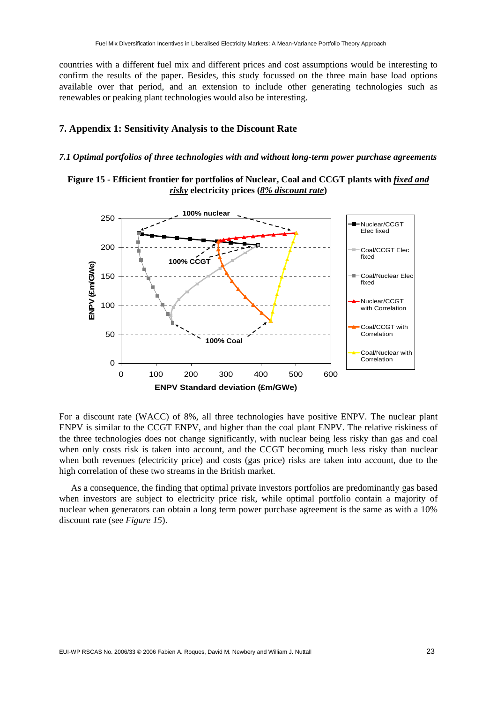countries with a different fuel mix and different prices and cost assumptions would be interesting to confirm the results of the paper. Besides, this study focussed on the three main base load options available over that period, and an extension to include other generating technologies such as renewables or peaking plant technologies would also be interesting.

#### **7. Appendix 1: Sensitivity Analysis to the Discount Rate**

#### *7.1 Optimal portfolios of three technologies with and without long-term power purchase agreements*





For a discount rate (WACC) of 8%, all three technologies have positive ENPV. The nuclear plant ENPV is similar to the CCGT ENPV, and higher than the coal plant ENPV. The relative riskiness of the three technologies does not change significantly, with nuclear being less risky than gas and coal when only costs risk is taken into account, and the CCGT becoming much less risky than nuclear when both revenues (electricity price) and costs (gas price) risks are taken into account, due to the high correlation of these two streams in the British market.

As a consequence, the finding that optimal private investors portfolios are predominantly gas based when investors are subject to electricity price risk, while optimal portfolio contain a majority of nuclear when generators can obtain a long term power purchase agreement is the same as with a 10% discount rate (see *Figure 15*).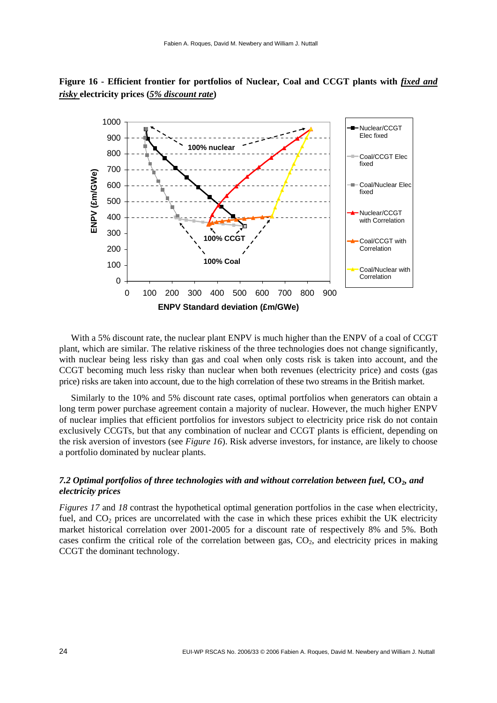

**Figure 16 - Efficient frontier for portfolios of Nuclear, Coal and CCGT plants with** *fixed and risky* **electricity prices (***5% discount rate***)** 

With a 5% discount rate, the nuclear plant ENPV is much higher than the ENPV of a coal of CCGT plant, which are similar. The relative riskiness of the three technologies does not change significantly, with nuclear being less risky than gas and coal when only costs risk is taken into account, and the CCGT becoming much less risky than nuclear when both revenues (electricity price) and costs (gas price) risks are taken into account, due to the high correlation of these two streams in the British market.

Similarly to the 10% and 5% discount rate cases, optimal portfolios when generators can obtain a long term power purchase agreement contain a majority of nuclear. However, the much higher ENPV of nuclear implies that efficient portfolios for investors subject to electricity price risk do not contain exclusively CCGTs, but that any combination of nuclear and CCGT plants is efficient, depending on the risk aversion of investors (see *Figure 16*). Risk adverse investors, for instance, are likely to choose a portfolio dominated by nuclear plants.

#### *7.2 Optimal portfolios of three technologies with and without correlation between fuel,* **CO2***, and electricity prices*

*Figures 17* and *18* contrast the hypothetical optimal generation portfolios in the case when electricity, fuel, and  $CO<sub>2</sub>$  prices are uncorrelated with the case in which these prices exhibit the UK electricity market historical correlation over 2001-2005 for a discount rate of respectively 8% and 5%. Both cases confirm the critical role of the correlation between gas,  $CO<sub>2</sub>$ , and electricity prices in making CCGT the dominant technology.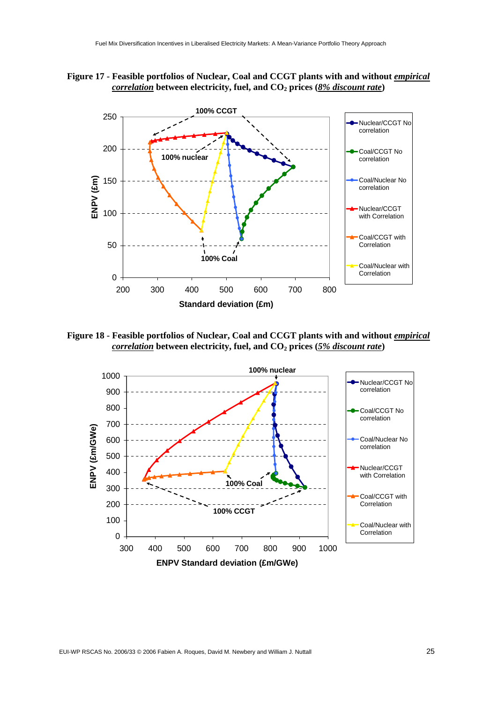



**Figure 18 - Feasible portfolios of Nuclear, Coal and CCGT plants with and without** *empirical correlation* between electricity, fuel, and  $CO<sub>2</sub>$  prices (5% discount rate)

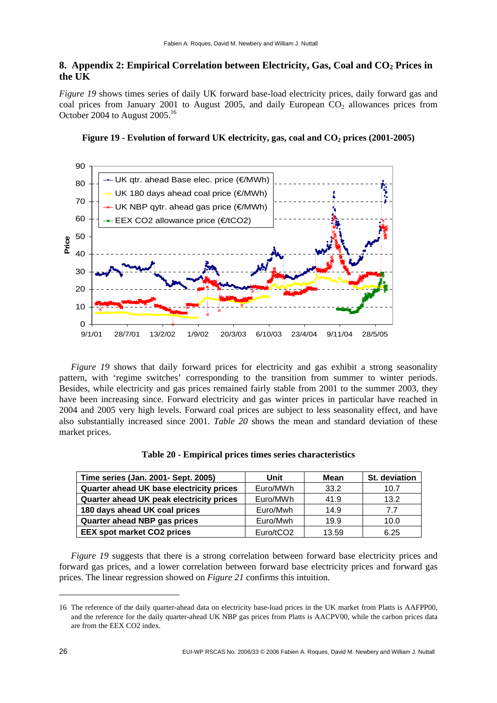#### **8. Appendix 2: Empirical Correlation between Electricity, Gas, Coal and CO<sub>2</sub> Prices in the UK**

*Figure 19* shows times series of daily UK forward base-load electricity prices, daily forward gas and coal prices from January 2001 to August 2005, and daily European  $CO<sub>2</sub>$  allowances prices from October 2004 to August 2005.<sup>16</sup>





*Figure 19* shows that daily forward prices for electricity and gas exhibit a strong seasonality pattern, with 'regime switches' corresponding to the transition from summer to winter periods. Besides, while electricity and gas prices remained fairly stable from 2001 to the summer 2003, they have been increasing since. Forward electricity and gas winter prices in particular have reached in 2004 and 2005 very high levels. Forward coal prices are subject to less seasonality effect, and have also substantially increased since 2001. *Table 20* shows the mean and standard deviation of these market prices.

| Time series (Jan. 2001- Sept. 2005)      | Unit      | Mean  | <b>St. deviation</b> |
|------------------------------------------|-----------|-------|----------------------|
| Quarter ahead UK base electricity prices | Euro/MWh  | 33.2  | 10.7                 |
| Quarter ahead UK peak electricity prices | Euro/MWh  | 41.9  | 13.2                 |
| 180 days ahead UK coal prices            | Euro/Mwh  | 14.9  | 77                   |
| Quarter ahead NBP gas prices             | Euro/Mwh  | 19.9  | 10.0                 |
| <b>EEX spot market CO2 prices</b>        | Euro/tCO2 | 13.59 | 6.25                 |

| Table 20 - Empirical prices times series characteristics |  |  |  |
|----------------------------------------------------------|--|--|--|
|----------------------------------------------------------|--|--|--|

*Figure 19* suggests that there is a strong correlation between forward base electricity prices and forward gas prices, and a lower correlation between forward base electricity prices and forward gas prices. The linear regression showed on *Figure 21* confirms this intuition.

<sup>16</sup> The reference of the daily quarter-ahead data on electricity base-load prices in the UK market from Platts is AAFPP00, and the reference for the daily quarter-ahead UK NBP gas prices from Platts is AACPV00, while the carbon prices data are from the EEX CO2 index.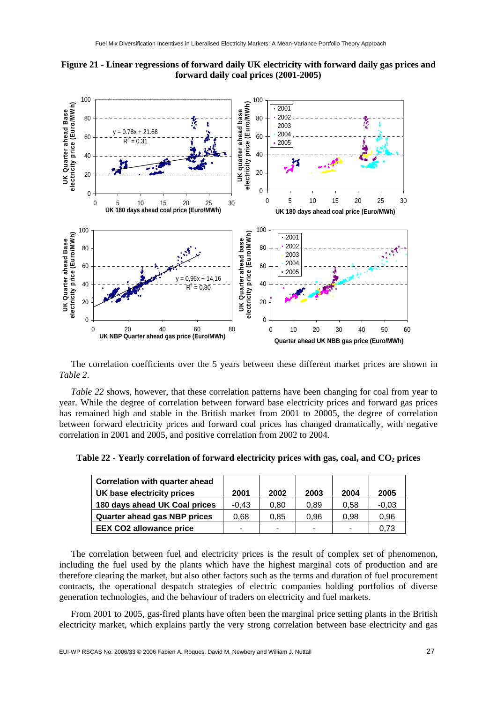



The correlation coefficients over the 5 years between these different market prices are shown in *Table 2*.

*Table 22* shows, however, that these correlation patterns have been changing for coal from year to year. While the degree of correlation between forward base electricity prices and forward gas prices has remained high and stable in the British market from 2001 to 20005, the degree of correlation between forward electricity prices and forward coal prices has changed dramatically, with negative correlation in 2001 and 2005, and positive correlation from 2002 to 2004.

| <b>Correlation with quarter ahead</b> |         |                |      |      |         |
|---------------------------------------|---------|----------------|------|------|---------|
| UK base electricity prices            | 2001    | 2002           | 2003 | 2004 | 2005    |
| 180 days ahead UK Coal prices         | $-0.43$ | 0.80           | 0.89 | 0.58 | $-0.03$ |
| Quarter ahead gas NBP prices          | 0.68    | 0.85           | 0.96 | 0.98 | 0.96    |
| <b>EEX CO2 allowance price</b>        |         | $\blacksquare$ | -    |      | 0.73    |

Table 22 - Yearly correlation of forward electricity prices with gas, coal, and CO<sub>2</sub> prices

The correlation between fuel and electricity prices is the result of complex set of phenomenon, including the fuel used by the plants which have the highest marginal cots of production and are therefore clearing the market, but also other factors such as the terms and duration of fuel procurement contracts, the operational despatch strategies of electric companies holding portfolios of diverse generation technologies, and the behaviour of traders on electricity and fuel markets.

From 2001 to 2005, gas-fired plants have often been the marginal price setting plants in the British electricity market, which explains partly the very strong correlation between base electricity and gas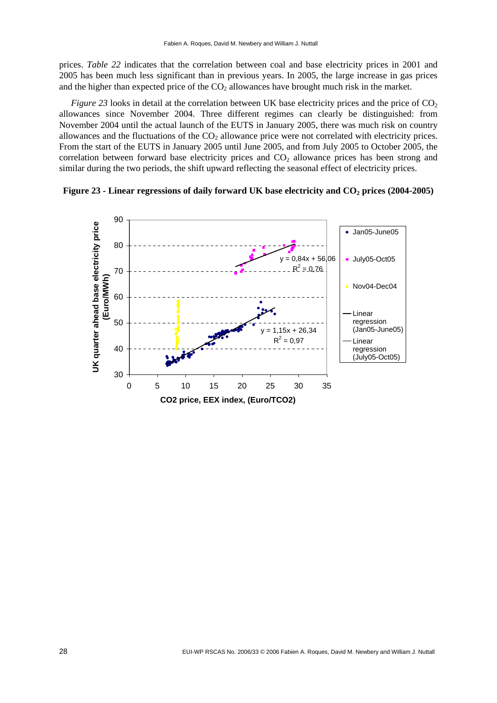prices. *Table 22* indicates that the correlation between coal and base electricity prices in 2001 and 2005 has been much less significant than in previous years. In 2005, the large increase in gas prices and the higher than expected price of the  $CO<sub>2</sub>$  allowances have brought much risk in the market.

*Figure 23* looks in detail at the correlation between UK base electricity prices and the price of  $CO<sub>2</sub>$ allowances since November 2004. Three different regimes can clearly be distinguished: from November 2004 until the actual launch of the EUTS in January 2005, there was much risk on country allowances and the fluctuations of the  $CO<sub>2</sub>$  allowance price were not correlated with electricity prices. From the start of the EUTS in January 2005 until June 2005, and from July 2005 to October 2005, the correlation between forward base electricity prices and  $CO<sub>2</sub>$  allowance prices has been strong and similar during the two periods, the shift upward reflecting the seasonal effect of electricity prices.



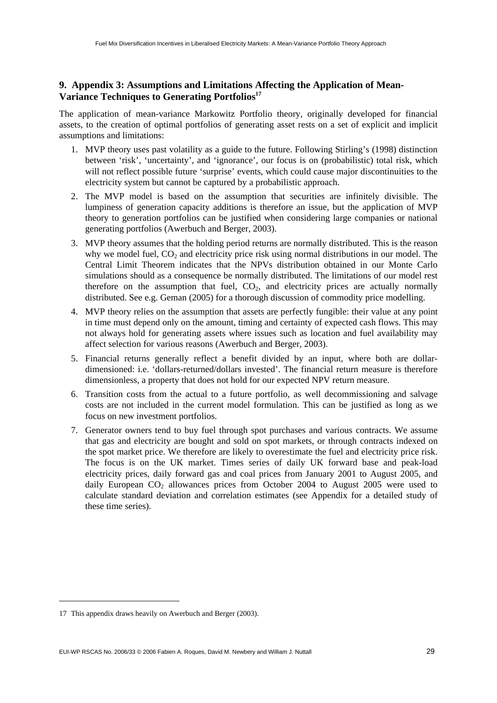#### **9. Appendix 3: Assumptions and Limitations Affecting the Application of Mean-**Variance Techniques to Generating Portfolios<sup>17</sup>

The application of mean-variance Markowitz Portfolio theory, originally developed for financial assets, to the creation of optimal portfolios of generating asset rests on a set of explicit and implicit assumptions and limitations:

- 1. MVP theory uses past volatility as a guide to the future. Following Stirling's (1998) distinction between 'risk', 'uncertainty', and 'ignorance', our focus is on (probabilistic) total risk, which will not reflect possible future 'surprise' events, which could cause major discontinuities to the electricity system but cannot be captured by a probabilistic approach.
- 2. The MVP model is based on the assumption that securities are infinitely divisible. The lumpiness of generation capacity additions is therefore an issue, but the application of MVP theory to generation portfolios can be justified when considering large companies or national generating portfolios (Awerbuch and Berger, 2003).
- 3. MVP theory assumes that the holding period returns are normally distributed. This is the reason why we model fuel,  $CO<sub>2</sub>$  and electricity price risk using normal distributions in our model. The Central Limit Theorem indicates that the NPVs distribution obtained in our Monte Carlo simulations should as a consequence be normally distributed. The limitations of our model rest therefore on the assumption that fuel,  $CO<sub>2</sub>$ , and electricity prices are actually normally distributed. See e.g. Geman (2005) for a thorough discussion of commodity price modelling.
- 4. MVP theory relies on the assumption that assets are perfectly fungible: their value at any point in time must depend only on the amount, timing and certainty of expected cash flows. This may not always hold for generating assets where issues such as location and fuel availability may affect selection for various reasons (Awerbuch and Berger, 2003).
- 5. Financial returns generally reflect a benefit divided by an input, where both are dollardimensioned: i.e. 'dollars-returned/dollars invested'. The financial return measure is therefore dimensionless, a property that does not hold for our expected NPV return measure.
- 6. Transition costs from the actual to a future portfolio, as well decommissioning and salvage costs are not included in the current model formulation. This can be justified as long as we focus on new investment portfolios.
- 7. Generator owners tend to buy fuel through spot purchases and various contracts. We assume that gas and electricity are bought and sold on spot markets, or through contracts indexed on the spot market price. We therefore are likely to overestimate the fuel and electricity price risk. The focus is on the UK market. Times series of daily UK forward base and peak-load electricity prices, daily forward gas and coal prices from January 2001 to August 2005, and daily European  $CO<sub>2</sub>$  allowances prices from October 2004 to August 2005 were used to calculate standard deviation and correlation estimates (see Appendix for a detailed study of these time series).

<sup>17</sup> This appendix draws heavily on Awerbuch and Berger (2003).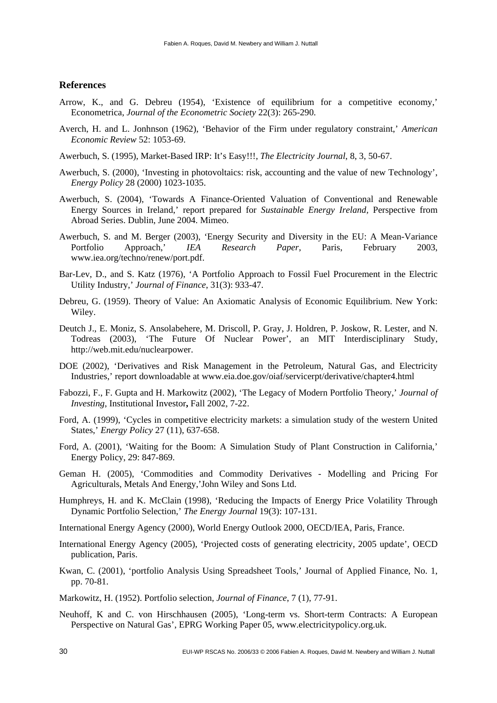#### **References**

- Arrow, K., and G. Debreu (1954), 'Existence of equilibrium for a competitive economy,' Econometrica, *Journal of the Econometric Society* 22(3): 265-290.
- Averch, H. and L. Jonhnson (1962), 'Behavior of the Firm under regulatory constraint,' *American Economic Review* 52: 1053-69.
- Awerbuch, S. (1995), Market-Based IRP: It's Easy!!!, *The Electricity Journal*, 8, 3, 50-67.
- Awerbuch, S. (2000), 'Investing in photovoltaics: risk, accounting and the value of new Technology', *Energy Policy* 28 (2000) 1023-1035.
- Awerbuch, S. (2004), 'Towards A Finance-Oriented Valuation of Conventional and Renewable Energy Sources in Ireland,' report prepared for *Sustainable Energy Ireland,* Perspective from Abroad Series. Dublin, June 2004. Mimeo.
- Awerbuch, S. and M. Berger (2003), 'Energy Security and Diversity in the EU: A Mean-Variance Portfolio Approach,' *IEA Research Paper*, Paris, February 2003, [www.iea.org/techno/renew/port.pdf.](http://www.iea.org/techno/renew/port.pdf)
- Bar-Lev, D., and S. Katz (1976), 'A Portfolio Approach to Fossil Fuel Procurement in the Electric Utility Industry,' *Journal of Finance*, 31(3): 933-47.
- Debreu, G. (1959). Theory of Value: An Axiomatic Analysis of Economic Equilibrium. New York: Wiley.
- Deutch J., E. Moniz, S. Ansolabehere, M. Driscoll, P. Gray, J. Holdren, P. Joskow, R. Lester, and N. Todreas (2003), 'The Future Of Nuclear Power', an MIT Interdisciplinary Study, [http://web.mit.edu/nuclearpower.](http://web.mit.edu/nuclearpower)
- DOE (2002), 'Derivatives and Risk Management in the Petroleum, Natural Gas, and Electricity Industries,' report downloadable at [www.eia.doe.gov/oiaf/servicerpt/derivative/chapter4.html](http://www.eia.doe.gov/oiaf/servicerpt/derivative/chapter4.html)
- Fabozzi, F., F. Gupta and H. Markowitz (2002), 'The Legacy of Modern Portfolio Theory,' *Journal of Investing*, Institutional Investor**,** Fall 2002, 7-22.
- Ford, A. (1999), 'Cycles in competitive electricity markets: a simulation study of the western United States,' *Energy Policy* 27 (11), 637-658.
- Ford, A. (2001), 'Waiting for the Boom: A Simulation Study of Plant Construction in California,' Energy Policy, 29: 847-869.
- Geman H. (2005), 'Commodities and Commodity Derivatives Modelling and Pricing For Agriculturals, Metals And Energy,'John Wiley and Sons Ltd.
- Humphreys, H. and K. McClain (1998), 'Reducing the Impacts of Energy Price Volatility Through Dynamic Portfolio Selection,' *The Energy Journal* 19(3): 107-131.
- International Energy Agency (2000), World Energy Outlook 2000, OECD/IEA, Paris, France.
- International Energy Agency (2005), 'Projected costs of generating electricity, 2005 update', OECD publication, Paris.
- Kwan, C. (2001), 'portfolio Analysis Using Spreadsheet Tools,' Journal of Applied Finance, No. 1, pp. 70-81.
- Markowitz, H. (1952). Portfolio selection, *Journal of Finance*, 7 (1), 77-91.
- Neuhoff, K and C. von Hirschhausen (2005), 'Long-term vs. Short-term Contracts: A European Perspective on Natural Gas', EPRG Working Paper 05, [www.electricitypolicy.org.uk.](http://www.electricitypolicy.org.uk)